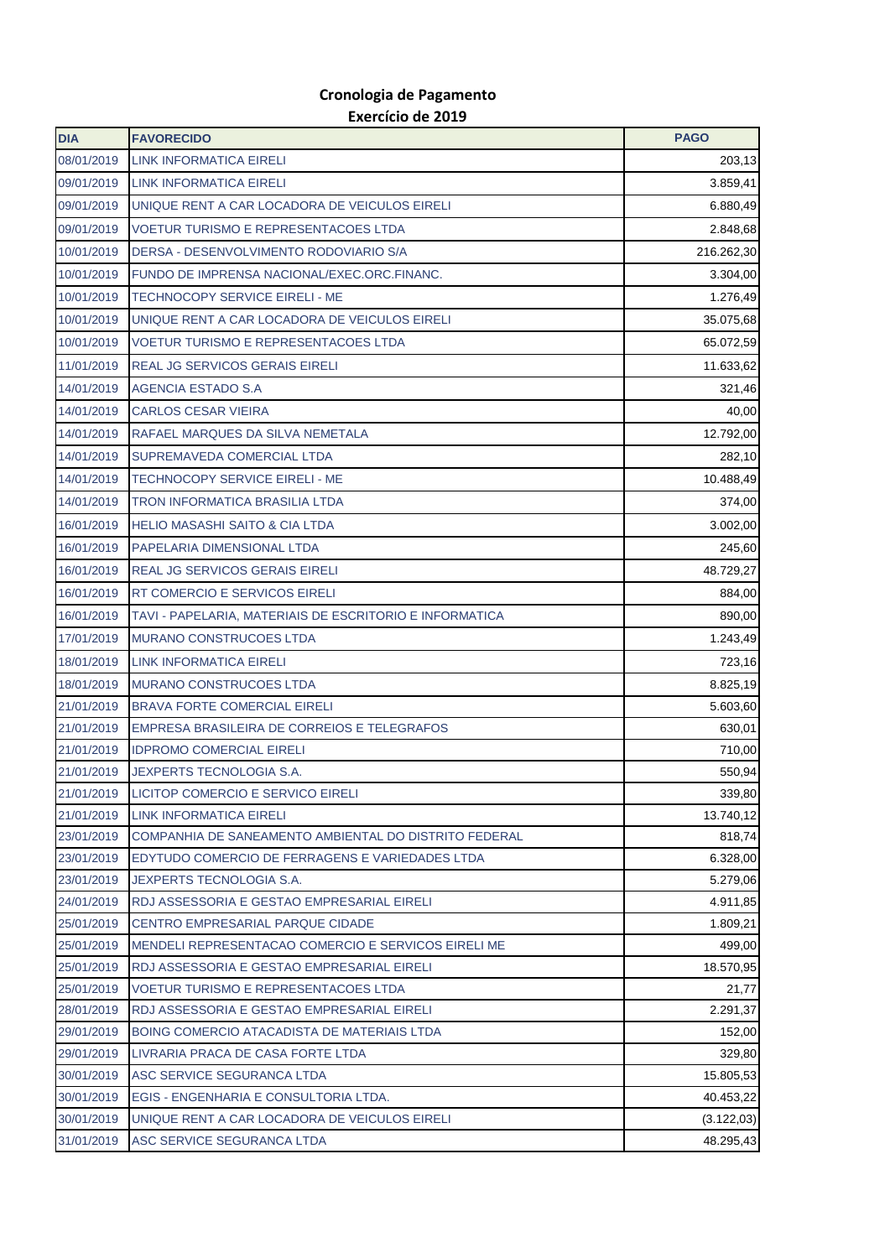## **Cronologia de Pagamento Exercício de 2019**

| <b>DIA</b>               | <b>FAVORECIDO</b>                                                                      | <b>PAGO</b>             |
|--------------------------|----------------------------------------------------------------------------------------|-------------------------|
| 08/01/2019               | <b>LINK INFORMATICA EIRELI</b>                                                         | 203,13                  |
| 09/01/2019               | LINK INFORMATICA EIRELI                                                                | 3.859,41                |
| 09/01/2019               | UNIQUE RENT A CAR LOCADORA DE VEICULOS EIRELI                                          | 6.880,49                |
| 09/01/2019               | <b>VOETUR TURISMO E REPRESENTACOES LTDA</b>                                            | 2.848,68                |
| 10/01/2019               | DERSA - DESENVOLVIMENTO RODOVIARIO S/A                                                 | 216.262,30              |
| 10/01/2019               | FUNDO DE IMPRENSA NACIONAL/EXEC.ORC.FINANC.                                            | 3.304,00                |
| 10/01/2019               | <b>TECHNOCOPY SERVICE EIRELI - ME</b>                                                  | 1.276,49                |
| 10/01/2019               | UNIQUE RENT A CAR LOCADORA DE VEICULOS EIRELI                                          | 35.075,68               |
| 10/01/2019               | <b>VOETUR TURISMO E REPRESENTACOES LTDA</b>                                            | 65.072,59               |
| 11/01/2019               | <b>REAL JG SERVICOS GERAIS EIRELI</b>                                                  | 11.633,62               |
| 14/01/2019               | AGENCIA ESTADO S.A                                                                     | 321,46                  |
| 14/01/2019               | <b>CARLOS CESAR VIEIRA</b>                                                             | 40,00                   |
| 14/01/2019               | RAFAEL MARQUES DA SILVA NEMETALA                                                       | 12.792,00               |
| 14/01/2019               | SUPREMAVEDA COMERCIAL LTDA                                                             | 282,10                  |
| 14/01/2019               | <b>TECHNOCOPY SERVICE EIRELI - ME</b>                                                  | 10.488,49               |
| 14/01/2019               | <b>TRON INFORMATICA BRASILIA LTDA</b>                                                  | 374,00                  |
| 16/01/2019               | <b>HELIO MASASHI SAITO &amp; CIA LTDA</b>                                              | 3.002,00                |
| 16/01/2019               | PAPELARIA DIMENSIONAL LTDA                                                             | 245,60                  |
| 16/01/2019               | <b>REAL JG SERVICOS GERAIS EIRELI</b>                                                  | 48.729,27               |
| 16/01/2019               | <b>RT COMERCIO E SERVICOS EIRELI</b>                                                   | 884,00                  |
| 16/01/2019               | TAVI - PAPELARIA, MATERIAIS DE ESCRITORIO E INFORMATICA                                | 890,00                  |
| 17/01/2019               | MURANO CONSTRUCOES LTDA                                                                | 1.243,49                |
| 18/01/2019               | LINK INFORMATICA EIRELI                                                                | 723,16                  |
| 18/01/2019               | <b>MURANO CONSTRUCOES LTDA</b>                                                         | 8.825,19                |
| 21/01/2019               | <b>BRAVA FORTE COMERCIAL EIRELI</b>                                                    | 5.603,60                |
| 21/01/2019               | EMPRESA BRASILEIRA DE CORREIOS E TELEGRAFOS                                            | 630,01                  |
| 21/01/2019               | <b>IDPROMO COMERCIAL EIRELI</b>                                                        | 710,00                  |
| 21/01/2019               | JEXPERTS TECNOLOGIA S.A.                                                               | 550,94                  |
| 21/01/2019               | LICITOP COMERCIO E SERVICO EIRELI                                                      | 339,80                  |
| 21/01/2019               | <b>LINK INFORMATICA EIRELI</b>                                                         | 13.740,12               |
| 23/01/2019               | COMPANHIA DE SANEAMENTO AMBIENTAL DO DISTRITO FEDERAL                                  | 818,74                  |
| 23/01/2019               | EDYTUDO COMERCIO DE FERRAGENS E VARIEDADES LTDA                                        | 6.328,00                |
| 23/01/2019               | <b>JEXPERTS TECNOLOGIA S.A.</b>                                                        | 5.279,06                |
| 24/01/2019               | RDJ ASSESSORIA E GESTAO EMPRESARIAL EIRELI                                             | 4.911,85                |
| 25/01/2019               | <b>CENTRO EMPRESARIAL PARQUE CIDADE</b>                                                | 1.809,21                |
| 25/01/2019               | MENDELI REPRESENTACAO COMERCIO E SERVICOS EIRELI ME                                    | 499,00                  |
| 25/01/2019               | RDJ ASSESSORIA E GESTAO EMPRESARIAL EIRELI                                             | 18.570,95               |
| 25/01/2019               | <b>VOETUR TURISMO E REPRESENTACOES LTDA</b>                                            | 21,77                   |
| 28/01/2019               | RDJ ASSESSORIA E GESTAO EMPRESARIAL EIRELI                                             | 2.291,37                |
| 29/01/2019               | BOING COMERCIO ATACADISTA DE MATERIAIS LTDA                                            | 152,00                  |
| 29/01/2019               | LIVRARIA PRACA DE CASA FORTE LTDA                                                      | 329,80                  |
| 30/01/2019               | ASC SERVICE SEGURANCA LTDA                                                             | 15.805,53               |
| 30/01/2019<br>30/01/2019 | EGIS - ENGENHARIA E CONSULTORIA LTDA.<br>UNIQUE RENT A CAR LOCADORA DE VEICULOS EIRELI | 40.453,22<br>(3.122,03) |
| 31/01/2019               | ASC SERVICE SEGURANCA LTDA                                                             | 48.295,43               |
|                          |                                                                                        |                         |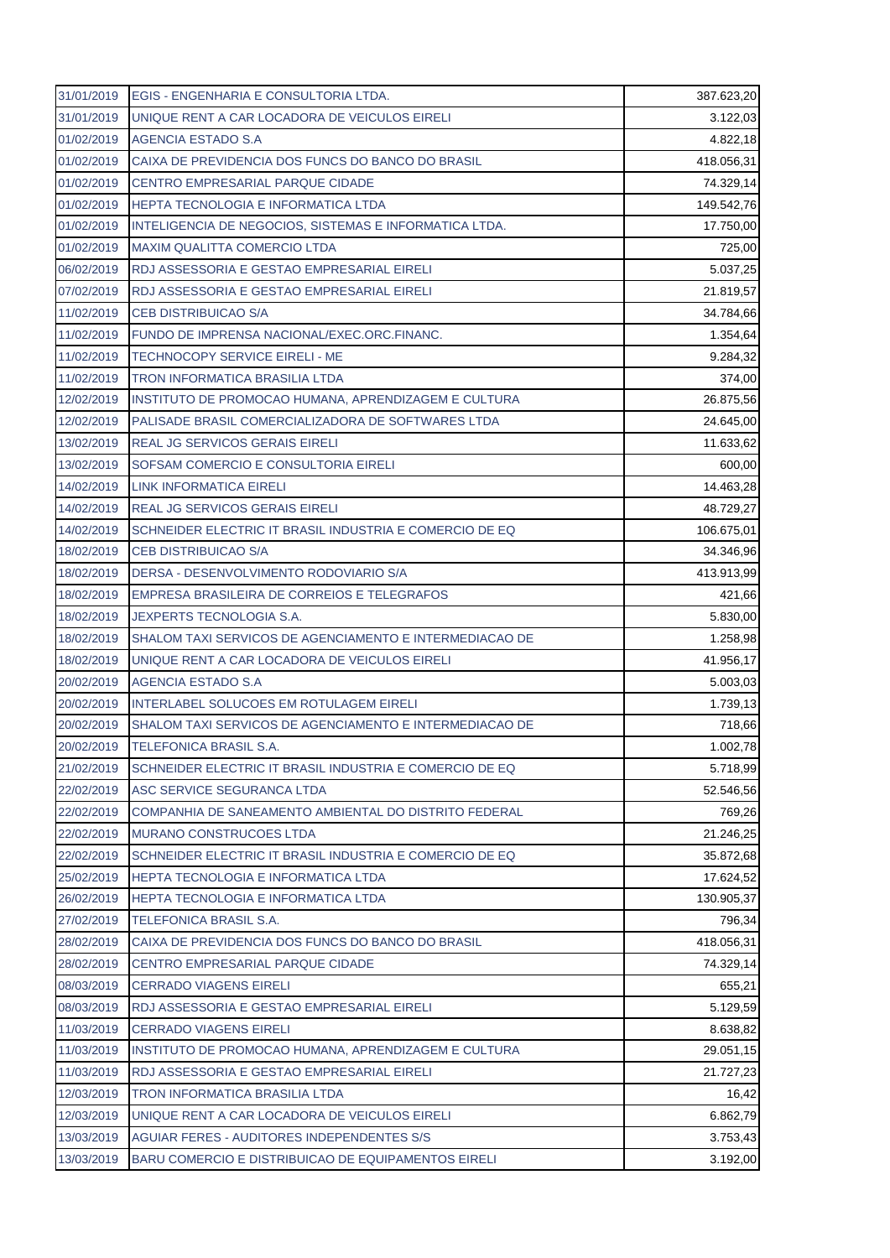| 31/01/2019 | <b>EGIS - ENGENHARIA E CONSULTORIA LTDA.</b>            | 387.623,20 |
|------------|---------------------------------------------------------|------------|
| 31/01/2019 | UNIQUE RENT A CAR LOCADORA DE VEICULOS EIRELI           | 3.122,03   |
| 01/02/2019 | AGENCIA ESTADO S.A                                      | 4.822,18   |
| 01/02/2019 | CAIXA DE PREVIDENCIA DOS FUNCS DO BANCO DO BRASIL       | 418.056,31 |
| 01/02/2019 | <b>CENTRO EMPRESARIAL PARQUE CIDADE</b>                 | 74.329,14  |
| 01/02/2019 | HEPTA TECNOLOGIA E INFORMATICA LTDA                     | 149.542,76 |
| 01/02/2019 | INTELIGENCIA DE NEGOCIOS, SISTEMAS E INFORMATICA LTDA.  | 17.750,00  |
| 01/02/2019 | <b>MAXIM QUALITTA COMERCIO LTDA</b>                     | 725,00     |
| 06/02/2019 | RDJ ASSESSORIA E GESTAO EMPRESARIAL EIRELI              | 5.037,25   |
| 07/02/2019 | RDJ ASSESSORIA E GESTAO EMPRESARIAL EIRELI              | 21.819,57  |
| 11/02/2019 | <b>CEB DISTRIBUICAO S/A</b>                             | 34.784,66  |
| 11/02/2019 | FUNDO DE IMPRENSA NACIONAL/EXEC.ORC.FINANC.             | 1.354,64   |
| 11/02/2019 | <b>TECHNOCOPY SERVICE EIRELI - ME</b>                   | 9.284,32   |
| 11/02/2019 | TRON INFORMATICA BRASILIA LTDA                          | 374,00     |
| 12/02/2019 | INSTITUTO DE PROMOCAO HUMANA, APRENDIZAGEM E CULTURA    | 26.875,56  |
| 12/02/2019 | PALISADE BRASIL COMERCIALIZADORA DE SOFTWARES LTDA      | 24.645,00  |
| 13/02/2019 | REAL JG SERVICOS GERAIS EIRELI                          | 11.633,62  |
| 13/02/2019 | SOFSAM COMERCIO E CONSULTORIA EIRELI                    | 600,00     |
| 14/02/2019 | LINK INFORMATICA EIRELI                                 | 14.463,28  |
| 14/02/2019 | <b>REAL JG SERVICOS GERAIS EIRELI</b>                   | 48.729,27  |
| 14/02/2019 | SCHNEIDER ELECTRIC IT BRASIL INDUSTRIA E COMERCIO DE EQ | 106.675,01 |
| 18/02/2019 | <b>CEB DISTRIBUICAO S/A</b>                             | 34.346,96  |
| 18/02/2019 | DERSA - DESENVOLVIMENTO RODOVIARIO S/A                  | 413.913,99 |
| 18/02/2019 | EMPRESA BRASILEIRA DE CORREIOS E TELEGRAFOS             | 421,66     |
| 18/02/2019 | <b>JEXPERTS TECNOLOGIA S.A.</b>                         | 5.830,00   |
| 18/02/2019 | SHALOM TAXI SERVICOS DE AGENCIAMENTO E INTERMEDIACAO DE | 1.258,98   |
| 18/02/2019 | UNIQUE RENT A CAR LOCADORA DE VEICULOS EIRELI           | 41.956,17  |
| 20/02/2019 | <b>AGENCIA ESTADO S.A</b>                               | 5.003,03   |
| 20/02/2019 | INTERLABEL SOLUCOES EM ROTULAGEM EIRELI                 | 1.739,13   |
| 20/02/2019 | SHALOM TAXI SERVICOS DE AGENCIAMENTO E INTERMEDIACAO DE | 718,66     |
| 20/02/2019 | TELEFONICA BRASIL S.A.                                  | 1.002,78   |
| 21/02/2019 | SCHNEIDER ELECTRIC IT BRASIL INDUSTRIA E COMERCIO DE EQ | 5.718,99   |
| 22/02/2019 | ASC SERVICE SEGURANCA LTDA                              | 52.546,56  |
| 22/02/2019 | COMPANHIA DE SANEAMENTO AMBIENTAL DO DISTRITO FEDERAL   | 769,26     |
| 22/02/2019 | <b>MURANO CONSTRUCOES LTDA</b>                          | 21.246,25  |
| 22/02/2019 | SCHNEIDER ELECTRIC IT BRASIL INDUSTRIA E COMERCIO DE EQ | 35.872,68  |
| 25/02/2019 | HEPTA TECNOLOGIA E INFORMATICA LTDA                     | 17.624,52  |
| 26/02/2019 | HEPTA TECNOLOGIA E INFORMATICA LTDA                     | 130.905,37 |
| 27/02/2019 | <b>TELEFONICA BRASIL S.A.</b>                           | 796,34     |
| 28/02/2019 | CAIXA DE PREVIDENCIA DOS FUNCS DO BANCO DO BRASIL       | 418.056,31 |
| 28/02/2019 | CENTRO EMPRESARIAL PARQUE CIDADE                        | 74.329,14  |
| 08/03/2019 | <b>CERRADO VIAGENS EIRELI</b>                           | 655,21     |
| 08/03/2019 | RDJ ASSESSORIA E GESTAO EMPRESARIAL EIRELI              | 5.129,59   |
| 11/03/2019 | <b>CERRADO VIAGENS EIRELI</b>                           | 8.638,82   |
| 11/03/2019 | INSTITUTO DE PROMOCAO HUMANA, APRENDIZAGEM E CULTURA    | 29.051,15  |
| 11/03/2019 | RDJ ASSESSORIA E GESTAO EMPRESARIAL EIRELI              | 21.727,23  |
| 12/03/2019 | TRON INFORMATICA BRASILIA LTDA                          | 16,42      |
| 12/03/2019 | UNIQUE RENT A CAR LOCADORA DE VEICULOS EIRELI           | 6.862,79   |
| 13/03/2019 | AGUIAR FERES - AUDITORES INDEPENDENTES S/S              | 3.753,43   |
| 13/03/2019 | BARU COMERCIO E DISTRIBUICAO DE EQUIPAMENTOS EIRELI     | 3.192,00   |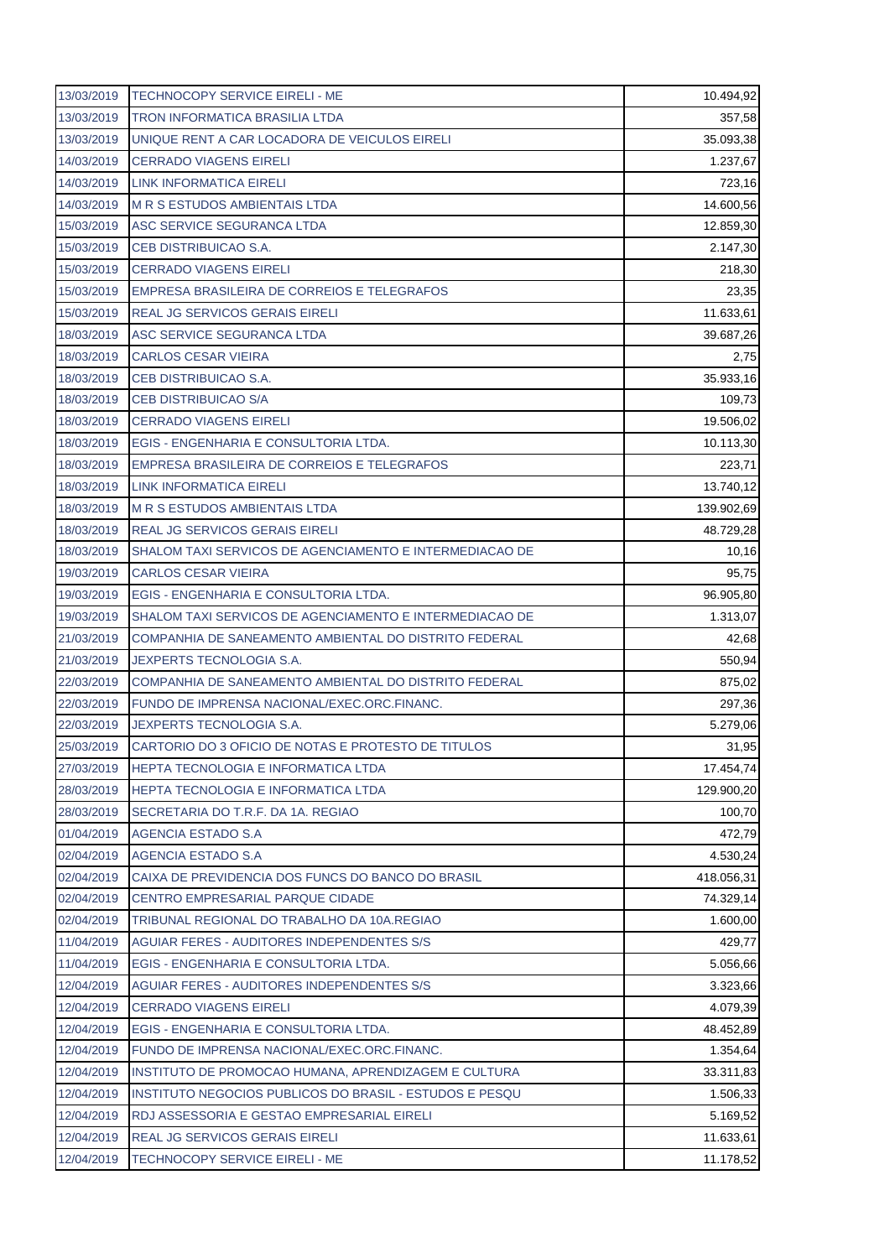| 13/03/2019 | <b>TECHNOCOPY SERVICE EIRELI - ME</b>                   | 10.494,92  |
|------------|---------------------------------------------------------|------------|
| 13/03/2019 | <b>TRON INFORMATICA BRASILIA LTDA</b>                   | 357,58     |
| 13/03/2019 | UNIQUE RENT A CAR LOCADORA DE VEICULOS EIRELI           | 35.093,38  |
| 14/03/2019 | <b>CERRADO VIAGENS EIRELI</b>                           | 1.237,67   |
| 14/03/2019 | LINK INFORMATICA EIRELI                                 | 723,16     |
| 14/03/2019 | <b>M R S ESTUDOS AMBIENTAIS LTDA</b>                    | 14.600,56  |
| 15/03/2019 | ASC SERVICE SEGURANCA LTDA                              | 12.859,30  |
| 15/03/2019 | CEB DISTRIBUICAO S.A.                                   | 2.147,30   |
| 15/03/2019 | <b>CERRADO VIAGENS EIRELI</b>                           | 218,30     |
| 15/03/2019 | EMPRESA BRASILEIRA DE CORREIOS E TELEGRAFOS             | 23,35      |
| 15/03/2019 | <b>REAL JG SERVICOS GERAIS EIRELI</b>                   | 11.633,61  |
| 18/03/2019 | ASC SERVICE SEGURANCA LTDA                              | 39.687,26  |
| 18/03/2019 | <b>CARLOS CESAR VIEIRA</b>                              | 2,75       |
| 18/03/2019 | CEB DISTRIBUICAO S.A.                                   | 35.933,16  |
| 18/03/2019 | <b>CEB DISTRIBUICAO S/A</b>                             | 109,73     |
| 18/03/2019 | <b>CERRADO VIAGENS EIRELI</b>                           | 19.506,02  |
| 18/03/2019 | EGIS - ENGENHARIA E CONSULTORIA LTDA.                   | 10.113,30  |
| 18/03/2019 | EMPRESA BRASILEIRA DE CORREIOS E TELEGRAFOS             | 223,71     |
| 18/03/2019 | LINK INFORMATICA EIRELI                                 | 13.740,12  |
| 18/03/2019 | <b>M R S ESTUDOS AMBIENTAIS LTDA</b>                    | 139.902,69 |
| 18/03/2019 | <b>REAL JG SERVICOS GERAIS EIRELI</b>                   | 48.729,28  |
| 18/03/2019 | SHALOM TAXI SERVICOS DE AGENCIAMENTO E INTERMEDIACAO DE | 10,16      |
| 19/03/2019 | <b>CARLOS CESAR VIEIRA</b>                              | 95,75      |
| 19/03/2019 | EGIS - ENGENHARIA E CONSULTORIA LTDA.                   | 96.905,80  |
| 19/03/2019 | SHALOM TAXI SERVICOS DE AGENCIAMENTO E INTERMEDIACAO DE | 1.313,07   |
| 21/03/2019 | COMPANHIA DE SANEAMENTO AMBIENTAL DO DISTRITO FEDERAL   | 42,68      |
| 21/03/2019 | JEXPERTS TECNOLOGIA S.A.                                | 550,94     |
| 22/03/2019 | COMPANHIA DE SANEAMENTO AMBIENTAL DO DISTRITO FEDERAL   | 875,02     |
| 22/03/2019 | FUNDO DE IMPRENSA NACIONAL/EXEC.ORC.FINANC.             | 297,36     |
| 22/03/2019 | <b>JEXPERTS TECNOLOGIA S.A.</b>                         | 5.279,06   |
| 25/03/2019 | CARTORIO DO 3 OFICIO DE NOTAS E PROTESTO DE TITULOS     | 31,95      |
| 27/03/2019 | <b>HEPTA TECNOLOGIA E INFORMATICA LTDA</b>              | 17.454,74  |
| 28/03/2019 | <b>HEPTA TECNOLOGIA E INFORMATICA LTDA</b>              | 129.900,20 |
| 28/03/2019 | SECRETARIA DO T.R.F. DA 1A. REGIAO                      | 100,70     |
| 01/04/2019 | <b>AGENCIA ESTADO S.A</b>                               | 472,79     |
| 02/04/2019 | AGENCIA ESTADO S.A                                      | 4.530,24   |
| 02/04/2019 | CAIXA DE PREVIDENCIA DOS FUNCS DO BANCO DO BRASIL       | 418.056,31 |
| 02/04/2019 | CENTRO EMPRESARIAL PARQUE CIDADE                        | 74.329,14  |
| 02/04/2019 | TRIBUNAL REGIONAL DO TRABALHO DA 10A.REGIAO             | 1.600,00   |
| 11/04/2019 | <b>AGUIAR FERES - AUDITORES INDEPENDENTES S/S</b>       | 429,77     |
| 11/04/2019 | EGIS - ENGENHARIA E CONSULTORIA LTDA.                   | 5.056,66   |
| 12/04/2019 | AGUIAR FERES - AUDITORES INDEPENDENTES S/S              | 3.323,66   |
| 12/04/2019 | <b>CERRADO VIAGENS EIRELI</b>                           | 4.079,39   |
| 12/04/2019 | EGIS - ENGENHARIA E CONSULTORIA LTDA.                   | 48.452,89  |
| 12/04/2019 | FUNDO DE IMPRENSA NACIONAL/EXEC.ORC.FINANC.             | 1.354,64   |
| 12/04/2019 | INSTITUTO DE PROMOCAO HUMANA, APRENDIZAGEM E CULTURA    | 33.311,83  |
| 12/04/2019 | INSTITUTO NEGOCIOS PUBLICOS DO BRASIL - ESTUDOS E PESQU | 1.506,33   |
| 12/04/2019 | RDJ ASSESSORIA E GESTAO EMPRESARIAL EIRELI              | 5.169,52   |
|            |                                                         |            |
| 12/04/2019 | REAL JG SERVICOS GERAIS EIRELI                          | 11.633,61  |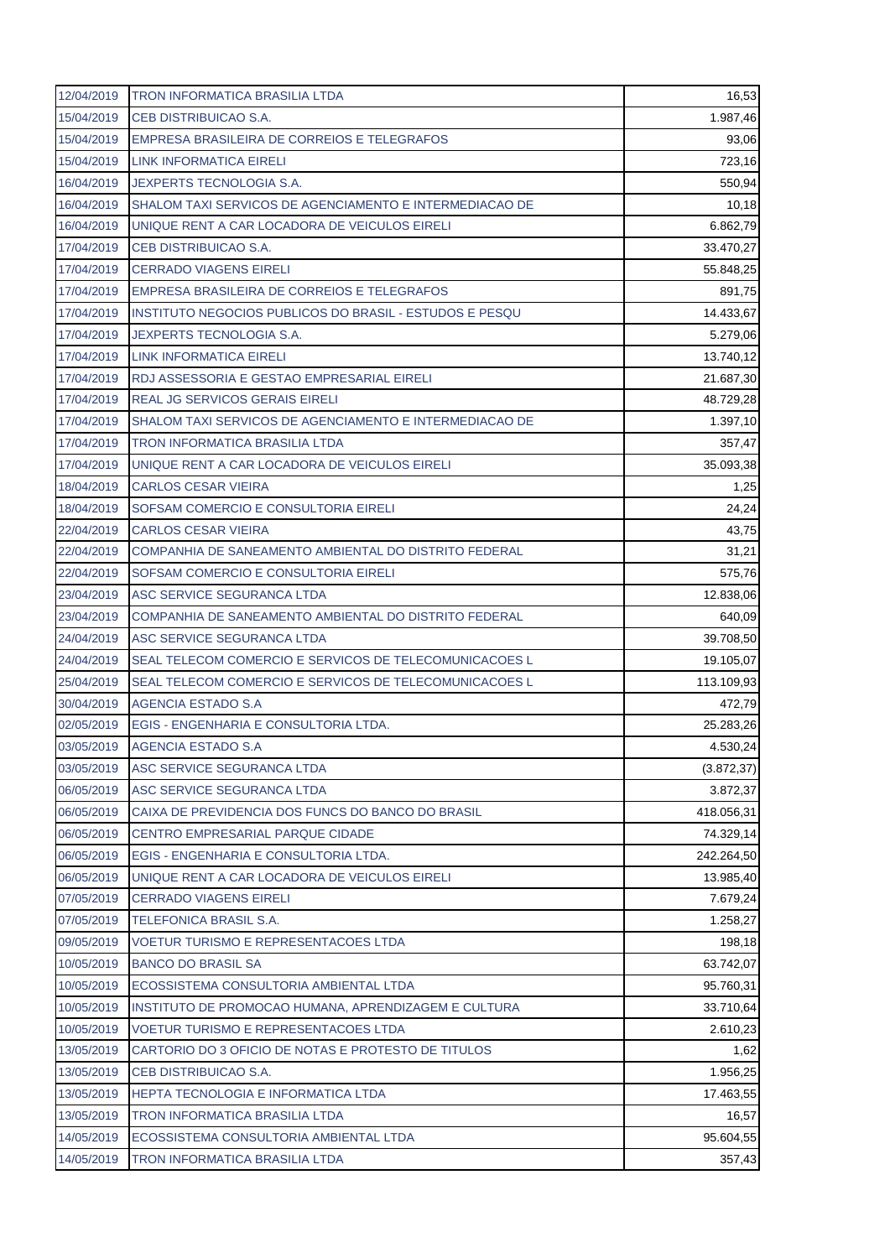| 12/04/2019 | <b>TRON INFORMATICA BRASILIA LTDA</b>                   | 16,53       |
|------------|---------------------------------------------------------|-------------|
| 15/04/2019 | CEB DISTRIBUICAO S.A.                                   | 1.987,46    |
| 15/04/2019 | EMPRESA BRASILEIRA DE CORREIOS E TELEGRAFOS             | 93,06       |
| 15/04/2019 | LINK INFORMATICA EIRELI                                 | 723,16      |
| 16/04/2019 | <b>JEXPERTS TECNOLOGIA S.A.</b>                         | 550,94      |
| 16/04/2019 | SHALOM TAXI SERVICOS DE AGENCIAMENTO E INTERMEDIACAO DE | 10,18       |
| 16/04/2019 | UNIQUE RENT A CAR LOCADORA DE VEICULOS EIRELI           | 6.862,79    |
| 17/04/2019 | CEB DISTRIBUICAO S.A.                                   | 33.470,27   |
| 17/04/2019 | <b>CERRADO VIAGENS EIRELI</b>                           | 55.848,25   |
| 17/04/2019 | EMPRESA BRASILEIRA DE CORREIOS E TELEGRAFOS             | 891,75      |
| 17/04/2019 | INSTITUTO NEGOCIOS PUBLICOS DO BRASIL - ESTUDOS E PESQU | 14.433,67   |
| 17/04/2019 | JEXPERTS TECNOLOGIA S.A.                                | 5.279,06    |
| 17/04/2019 | LINK INFORMATICA EIRELI                                 | 13.740,12   |
| 17/04/2019 | RDJ ASSESSORIA E GESTAO EMPRESARIAL EIRELI              | 21.687,30   |
| 17/04/2019 | <b>REAL JG SERVICOS GERAIS EIRELI</b>                   | 48.729,28   |
| 17/04/2019 | SHALOM TAXI SERVICOS DE AGENCIAMENTO E INTERMEDIACAO DE | 1.397,10    |
| 17/04/2019 | <b>TRON INFORMATICA BRASILIA LTDA</b>                   | 357,47      |
| 17/04/2019 | UNIQUE RENT A CAR LOCADORA DE VEICULOS EIRELI           | 35.093,38   |
| 18/04/2019 | <b>CARLOS CESAR VIEIRA</b>                              | 1,25        |
| 18/04/2019 | SOFSAM COMERCIO E CONSULTORIA EIRELI                    | 24,24       |
| 22/04/2019 | <b>CARLOS CESAR VIEIRA</b>                              | 43,75       |
| 22/04/2019 | COMPANHIA DE SANEAMENTO AMBIENTAL DO DISTRITO FEDERAL   | 31,21       |
| 22/04/2019 | SOFSAM COMERCIO E CONSULTORIA EIRELI                    | 575,76      |
| 23/04/2019 | ASC SERVICE SEGURANCA LTDA                              | 12.838,06   |
| 23/04/2019 | COMPANHIA DE SANEAMENTO AMBIENTAL DO DISTRITO FEDERAL   | 640,09      |
| 24/04/2019 | ASC SERVICE SEGURANCA LTDA                              | 39.708,50   |
| 24/04/2019 | SEAL TELECOM COMERCIO E SERVICOS DE TELECOMUNICACOES L  | 19.105,07   |
| 25/04/2019 | SEAL TELECOM COMERCIO E SERVICOS DE TELECOMUNICACOES L  | 113.109,93  |
| 30/04/2019 | AGENCIA ESTADO S.A                                      | 472,79      |
| 02/05/2019 | EGIS - ENGENHARIA E CONSULTORIA LTDA.                   | 25.283,26   |
| 03/05/2019 | AGENCIA ESTADO S.A                                      | 4.530,24    |
| 03/05/2019 | ASC SERVICE SEGURANCA LTDA                              | (3.872, 37) |
| 06/05/2019 | ASC SERVICE SEGURANCA LTDA                              | 3.872,37    |
| 06/05/2019 | CAIXA DE PREVIDENCIA DOS FUNCS DO BANCO DO BRASIL       | 418.056,31  |
| 06/05/2019 | CENTRO EMPRESARIAL PARQUE CIDADE                        | 74.329,14   |
| 06/05/2019 | EGIS - ENGENHARIA E CONSULTORIA LTDA.                   | 242.264,50  |
| 06/05/2019 | UNIQUE RENT A CAR LOCADORA DE VEICULOS EIRELI           | 13.985,40   |
| 07/05/2019 | <b>CERRADO VIAGENS EIRELI</b>                           | 7.679,24    |
| 07/05/2019 | TELEFONICA BRASIL S.A.                                  | 1.258,27    |
| 09/05/2019 | <b>VOETUR TURISMO E REPRESENTACOES LTDA</b>             | 198,18      |
| 10/05/2019 | <b>BANCO DO BRASIL SA</b>                               | 63.742,07   |
| 10/05/2019 | ECOSSISTEMA CONSULTORIA AMBIENTAL LTDA                  | 95.760,31   |
| 10/05/2019 | INSTITUTO DE PROMOCAO HUMANA, APRENDIZAGEM E CULTURA    | 33.710,64   |
| 10/05/2019 | <b>VOETUR TURISMO E REPRESENTACOES LTDA</b>             | 2.610,23    |
| 13/05/2019 | CARTORIO DO 3 OFICIO DE NOTAS E PROTESTO DE TITULOS     | 1,62        |
| 13/05/2019 | CEB DISTRIBUICAO S.A.                                   | 1.956,25    |
| 13/05/2019 | <b>HEPTA TECNOLOGIA E INFORMATICA LTDA</b>              | 17.463,55   |
| 13/05/2019 | TRON INFORMATICA BRASILIA LTDA                          | 16,57       |
| 14/05/2019 | ECOSSISTEMA CONSULTORIA AMBIENTAL LTDA                  | 95.604,55   |
| 14/05/2019 | TRON INFORMATICA BRASILIA LTDA                          | 357,43      |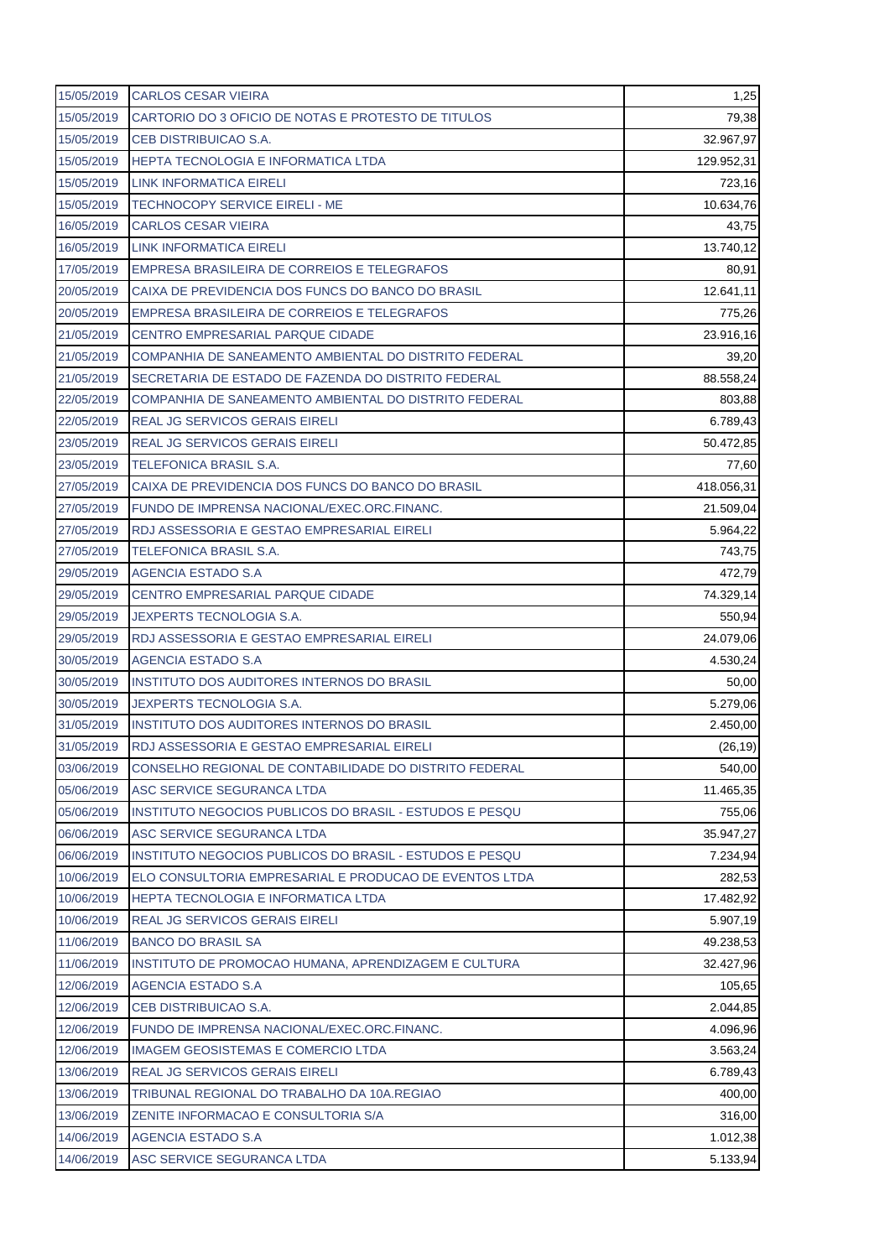| 15/05/2019 | <b>CARLOS CESAR VIEIRA</b>                              | 1,25       |
|------------|---------------------------------------------------------|------------|
| 15/05/2019 | CARTORIO DO 3 OFICIO DE NOTAS E PROTESTO DE TITULOS     | 79,38      |
| 15/05/2019 | CEB DISTRIBUICAO S.A.                                   | 32.967,97  |
| 15/05/2019 | HEPTA TECNOLOGIA E INFORMATICA LTDA                     | 129.952,31 |
| 15/05/2019 | LINK INFORMATICA EIRELI                                 | 723,16     |
| 15/05/2019 | <b>TECHNOCOPY SERVICE EIRELI - ME</b>                   | 10.634,76  |
| 16/05/2019 | <b>CARLOS CESAR VIEIRA</b>                              | 43,75      |
| 16/05/2019 | <b>LINK INFORMATICA EIRELI</b>                          | 13.740,12  |
| 17/05/2019 | EMPRESA BRASILEIRA DE CORREIOS E TELEGRAFOS             | 80,91      |
| 20/05/2019 | CAIXA DE PREVIDENCIA DOS FUNCS DO BANCO DO BRASIL       | 12.641,11  |
| 20/05/2019 | EMPRESA BRASILEIRA DE CORREIOS E TELEGRAFOS             | 775,26     |
| 21/05/2019 | <b>CENTRO EMPRESARIAL PARQUE CIDADE</b>                 | 23.916,16  |
| 21/05/2019 | COMPANHIA DE SANEAMENTO AMBIENTAL DO DISTRITO FEDERAL   | 39,20      |
| 21/05/2019 | SECRETARIA DE ESTADO DE FAZENDA DO DISTRITO FEDERAL     | 88.558,24  |
| 22/05/2019 | COMPANHIA DE SANEAMENTO AMBIENTAL DO DISTRITO FEDERAL   | 803,88     |
| 22/05/2019 | <b>REAL JG SERVICOS GERAIS EIRELI</b>                   | 6.789,43   |
| 23/05/2019 | <b>REAL JG SERVICOS GERAIS EIRELI</b>                   | 50.472,85  |
| 23/05/2019 | TELEFONICA BRASIL S.A.                                  | 77,60      |
| 27/05/2019 | CAIXA DE PREVIDENCIA DOS FUNCS DO BANCO DO BRASIL       | 418.056,31 |
| 27/05/2019 | FUNDO DE IMPRENSA NACIONAL/EXEC.ORC.FINANC.             | 21.509,04  |
| 27/05/2019 | RDJ ASSESSORIA E GESTAO EMPRESARIAL EIRELI              | 5.964,22   |
| 27/05/2019 | TELEFONICA BRASIL S.A.                                  | 743,75     |
| 29/05/2019 | AGENCIA ESTADO S.A                                      | 472,79     |
| 29/05/2019 | <b>CENTRO EMPRESARIAL PARQUE CIDADE</b>                 | 74.329,14  |
| 29/05/2019 | <b>JEXPERTS TECNOLOGIA S.A.</b>                         | 550,94     |
| 29/05/2019 | RDJ ASSESSORIA E GESTAO EMPRESARIAL EIRELI              | 24.079,06  |
| 30/05/2019 | AGENCIA ESTADO S.A                                      | 4.530,24   |
| 30/05/2019 | <b>INSTITUTO DOS AUDITORES INTERNOS DO BRASIL</b>       | 50,00      |
| 30/05/2019 | <b>JEXPERTS TECNOLOGIA S.A.</b>                         | 5.279,06   |
| 31/05/2019 | <b>INSTITUTO DOS AUDITORES INTERNOS DO BRASIL</b>       | 2.450,00   |
| 31/05/2019 | RDJ ASSESSORIA E GESTAO EMPRESARIAL EIRELI              | (26, 19)   |
| 03/06/2019 | CONSELHO REGIONAL DE CONTABILIDADE DO DISTRITO FEDERAL  | 540,00     |
| 05/06/2019 | ASC SERVICE SEGURANCA LTDA                              | 11.465,35  |
| 05/06/2019 | INSTITUTO NEGOCIOS PUBLICOS DO BRASIL - ESTUDOS E PESQU | 755,06     |
| 06/06/2019 | ASC SERVICE SEGURANCA LTDA                              | 35.947,27  |
| 06/06/2019 | INSTITUTO NEGOCIOS PUBLICOS DO BRASIL - ESTUDOS E PESQU | 7.234,94   |
| 10/06/2019 | ELO CONSULTORIA EMPRESARIAL E PRODUCAO DE EVENTOS LTDA  | 282,53     |
| 10/06/2019 | <b>HEPTA TECNOLOGIA E INFORMATICA LTDA</b>              | 17.482,92  |
| 10/06/2019 | REAL JG SERVICOS GERAIS EIRELI                          | 5.907,19   |
| 11/06/2019 | <b>BANCO DO BRASIL SA</b>                               | 49.238,53  |
| 11/06/2019 | INSTITUTO DE PROMOCAO HUMANA, APRENDIZAGEM E CULTURA    | 32.427,96  |
| 12/06/2019 | <b>AGENCIA ESTADO S.A</b>                               | 105,65     |
| 12/06/2019 | CEB DISTRIBUICAO S.A.                                   | 2.044,85   |
| 12/06/2019 | FUNDO DE IMPRENSA NACIONAL/EXEC.ORC.FINANC.             | 4.096,96   |
| 12/06/2019 | <b>IMAGEM GEOSISTEMAS E COMERCIO LTDA</b>               | 3.563,24   |
| 13/06/2019 | REAL JG SERVICOS GERAIS EIRELI                          | 6.789,43   |
| 13/06/2019 | TRIBUNAL REGIONAL DO TRABALHO DA 10A.REGIAO             | 400,00     |
| 13/06/2019 | ZENITE INFORMACAO E CONSULTORIA S/A                     | 316,00     |
| 14/06/2019 | <b>AGENCIA ESTADO S.A</b>                               | 1.012,38   |
| 14/06/2019 | ASC SERVICE SEGURANCA LTDA                              | 5.133,94   |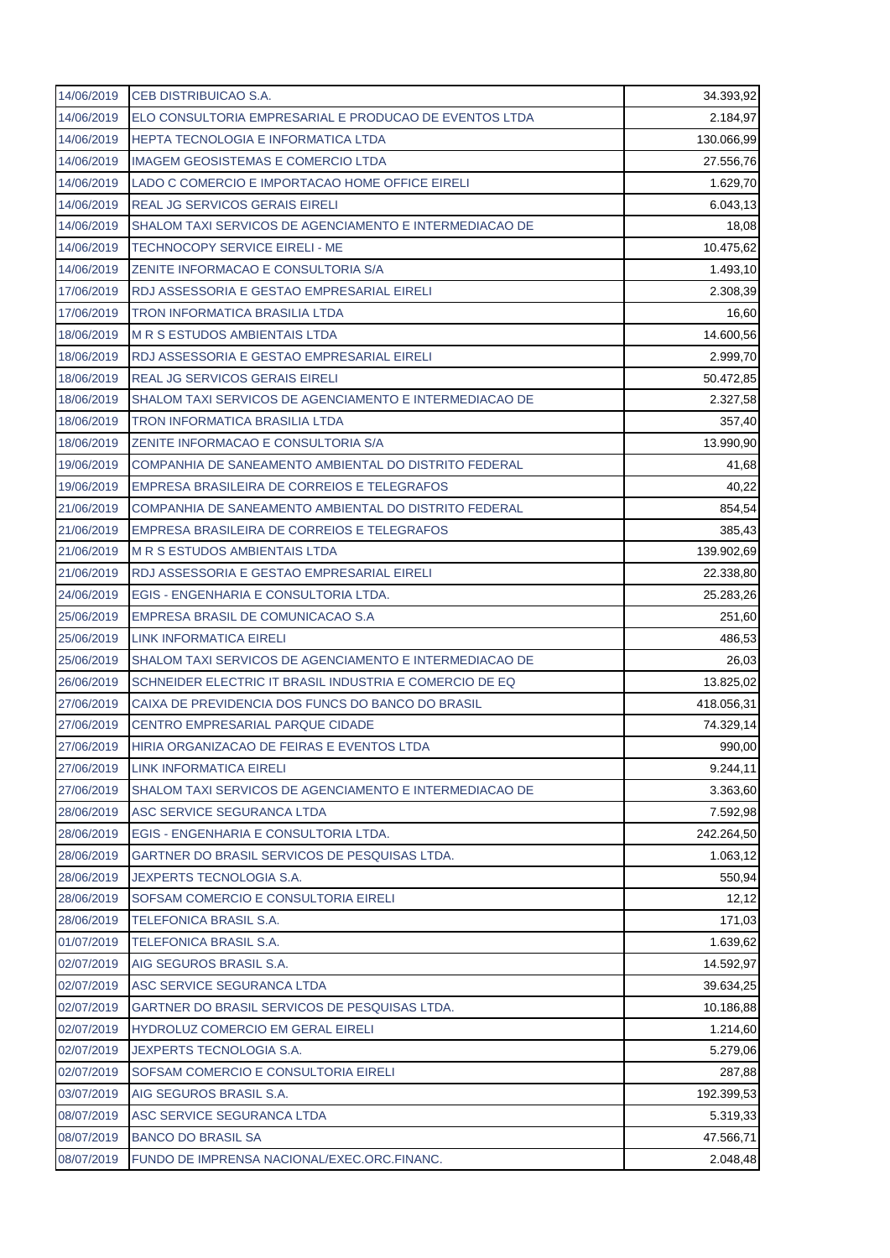| 14/06/2019 | CEB DISTRIBUICAO S.A.                                   | 34.393,92  |
|------------|---------------------------------------------------------|------------|
| 14/06/2019 | ELO CONSULTORIA EMPRESARIAL E PRODUCAO DE EVENTOS LTDA  | 2.184,97   |
| 14/06/2019 | <b>HEPTA TECNOLOGIA E INFORMATICA LTDA</b>              | 130.066,99 |
| 14/06/2019 | IMAGEM GEOSISTEMAS E COMERCIO LTDA                      | 27.556,76  |
| 14/06/2019 | LADO C COMERCIO E IMPORTACAO HOME OFFICE EIRELI         | 1.629,70   |
| 14/06/2019 | <b>REAL JG SERVICOS GERAIS EIRELI</b>                   | 6.043,13   |
| 14/06/2019 | SHALOM TAXI SERVICOS DE AGENCIAMENTO E INTERMEDIACAO DE | 18,08      |
| 14/06/2019 | <b>TECHNOCOPY SERVICE EIRELI - ME</b>                   | 10.475,62  |
| 14/06/2019 | ZENITE INFORMACAO E CONSULTORIA S/A                     | 1.493,10   |
| 17/06/2019 | RDJ ASSESSORIA E GESTAO EMPRESARIAL EIRELI              | 2.308,39   |
| 17/06/2019 | <b>TRON INFORMATICA BRASILIA LTDA</b>                   | 16,60      |
| 18/06/2019 | <b>M R S ESTUDOS AMBIENTAIS LTDA</b>                    | 14.600,56  |
| 18/06/2019 | RDJ ASSESSORIA E GESTAO EMPRESARIAL EIRELI              | 2.999,70   |
| 18/06/2019 | <b>REAL JG SERVICOS GERAIS EIRELI</b>                   | 50.472,85  |
| 18/06/2019 | SHALOM TAXI SERVICOS DE AGENCIAMENTO E INTERMEDIACAO DE | 2.327,58   |
| 18/06/2019 | <b>TRON INFORMATICA BRASILIA LTDA</b>                   | 357,40     |
| 18/06/2019 | ZENITE INFORMACAO E CONSULTORIA S/A                     | 13.990,90  |
| 19/06/2019 | COMPANHIA DE SANEAMENTO AMBIENTAL DO DISTRITO FEDERAL   | 41,68      |
| 19/06/2019 | EMPRESA BRASILEIRA DE CORREIOS E TELEGRAFOS             | 40,22      |
| 21/06/2019 | COMPANHIA DE SANEAMENTO AMBIENTAL DO DISTRITO FEDERAL   | 854,54     |
| 21/06/2019 | EMPRESA BRASILEIRA DE CORREIOS E TELEGRAFOS             | 385,43     |
| 21/06/2019 | <b>M R S ESTUDOS AMBIENTAIS LTDA</b>                    | 139.902,69 |
| 21/06/2019 | RDJ ASSESSORIA E GESTAO EMPRESARIAL EIRELI              | 22.338,80  |
| 24/06/2019 | EGIS - ENGENHARIA E CONSULTORIA LTDA.                   | 25.283,26  |
| 25/06/2019 | EMPRESA BRASIL DE COMUNICACAO S.A                       | 251,60     |
| 25/06/2019 | <b>LINK INFORMATICA EIRELI</b>                          | 486,53     |
| 25/06/2019 | SHALOM TAXI SERVICOS DE AGENCIAMENTO E INTERMEDIACAO DE | 26,03      |
| 26/06/2019 | SCHNEIDER ELECTRIC IT BRASIL INDUSTRIA E COMERCIO DE EQ | 13.825,02  |
| 27/06/2019 | CAIXA DE PREVIDENCIA DOS FUNCS DO BANCO DO BRASIL       | 418.056,31 |
| 27/06/2019 | <b>CENTRO EMPRESARIAL PARQUE CIDADE</b>                 | 74.329,14  |
| 27/06/2019 | HIRIA ORGANIZACAO DE FEIRAS E EVENTOS LTDA              | 990,00     |
| 27/06/2019 | <b>LINK INFORMATICA EIRELI</b>                          | 9.244,11   |
| 27/06/2019 | SHALOM TAXI SERVICOS DE AGENCIAMENTO E INTERMEDIACAO DE | 3.363,60   |
| 28/06/2019 | ASC SERVICE SEGURANCA LTDA                              | 7.592,98   |
| 28/06/2019 | EGIS - ENGENHARIA E CONSULTORIA LTDA.                   | 242.264,50 |
| 28/06/2019 | GARTNER DO BRASIL SERVICOS DE PESQUISAS LTDA.           | 1.063,12   |
| 28/06/2019 | <b>JEXPERTS TECNOLOGIA S.A.</b>                         | 550,94     |
| 28/06/2019 | SOFSAM COMERCIO E CONSULTORIA EIRELI                    | 12,12      |
| 28/06/2019 | TELEFONICA BRASIL S.A.                                  | 171,03     |
| 01/07/2019 | TELEFONICA BRASIL S.A.                                  | 1.639,62   |
| 02/07/2019 | AIG SEGUROS BRASIL S.A.                                 | 14.592,97  |
| 02/07/2019 | ASC SERVICE SEGURANCA LTDA                              | 39.634,25  |
| 02/07/2019 | GARTNER DO BRASIL SERVICOS DE PESQUISAS LTDA.           | 10.186,88  |
| 02/07/2019 | <b>HYDROLUZ COMERCIO EM GERAL EIRELI</b>                | 1.214,60   |
| 02/07/2019 | <b>JEXPERTS TECNOLOGIA S.A.</b>                         | 5.279,06   |
| 02/07/2019 | SOFSAM COMERCIO E CONSULTORIA EIRELI                    | 287,88     |
| 03/07/2019 | AIG SEGUROS BRASIL S.A.                                 | 192.399,53 |
| 08/07/2019 | ASC SERVICE SEGURANCA LTDA                              | 5.319,33   |
| 08/07/2019 | <b>BANCO DO BRASIL SA</b>                               | 47.566,71  |
| 08/07/2019 | FUNDO DE IMPRENSA NACIONAL/EXEC.ORC.FINANC.             | 2.048,48   |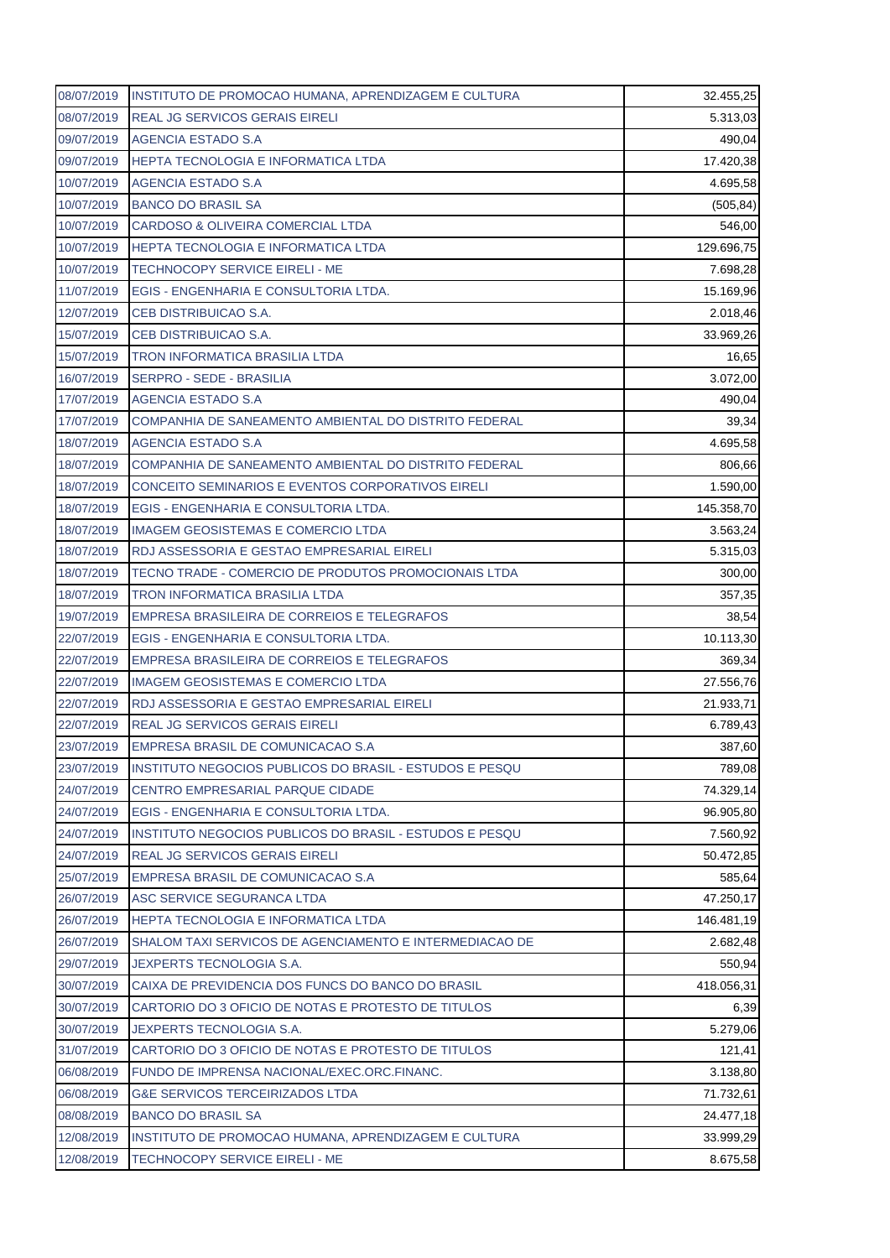| 08/07/2019 | INSTITUTO DE PROMOCAO HUMANA, APRENDIZAGEM E CULTURA    | 32.455,25  |
|------------|---------------------------------------------------------|------------|
| 08/07/2019 | <b>REAL JG SERVICOS GERAIS EIRELI</b>                   | 5.313,03   |
| 09/07/2019 | AGENCIA ESTADO S.A                                      | 490,04     |
| 09/07/2019 | <b>HEPTA TECNOLOGIA E INFORMATICA LTDA</b>              | 17.420,38  |
| 10/07/2019 | AGENCIA ESTADO S.A                                      | 4.695,58   |
| 10/07/2019 | <b>BANCO DO BRASIL SA</b>                               | (505, 84)  |
| 10/07/2019 | CARDOSO & OLIVEIRA COMERCIAL LTDA                       | 546,00     |
| 10/07/2019 | HEPTA TECNOLOGIA E INFORMATICA LTDA                     | 129.696,75 |
| 10/07/2019 | TECHNOCOPY SERVICE EIRELI - ME                          | 7.698,28   |
| 11/07/2019 | EGIS - ENGENHARIA E CONSULTORIA LTDA.                   | 15.169,96  |
| 12/07/2019 | CEB DISTRIBUICAO S.A.                                   | 2.018,46   |
| 15/07/2019 | CEB DISTRIBUICAO S.A.                                   | 33.969,26  |
| 15/07/2019 | <b>TRON INFORMATICA BRASILIA LTDA</b>                   | 16,65      |
| 16/07/2019 | <b>SERPRO - SEDE - BRASILIA</b>                         | 3.072,00   |
| 17/07/2019 | AGENCIA ESTADO S.A                                      | 490,04     |
| 17/07/2019 | COMPANHIA DE SANEAMENTO AMBIENTAL DO DISTRITO FEDERAL   | 39,34      |
| 18/07/2019 | AGENCIA ESTADO S.A                                      | 4.695,58   |
| 18/07/2019 | COMPANHIA DE SANEAMENTO AMBIENTAL DO DISTRITO FEDERAL   | 806,66     |
| 18/07/2019 | CONCEITO SEMINARIOS E EVENTOS CORPORATIVOS EIRELI       | 1.590,00   |
| 18/07/2019 | EGIS - ENGENHARIA E CONSULTORIA LTDA.                   | 145.358,70 |
| 18/07/2019 | IMAGEM GEOSISTEMAS E COMERCIO LTDA                      | 3.563,24   |
| 18/07/2019 | RDJ ASSESSORIA E GESTAO EMPRESARIAL EIRELI              | 5.315,03   |
| 18/07/2019 | TECNO TRADE - COMERCIO DE PRODUTOS PROMOCIONAIS LTDA    | 300,00     |
| 18/07/2019 | <b>TRON INFORMATICA BRASILIA LTDA</b>                   | 357,35     |
| 19/07/2019 | EMPRESA BRASILEIRA DE CORREIOS E TELEGRAFOS             | 38,54      |
| 22/07/2019 | EGIS - ENGENHARIA E CONSULTORIA LTDA.                   | 10.113,30  |
| 22/07/2019 | EMPRESA BRASILEIRA DE CORREIOS E TELEGRAFOS             | 369,34     |
| 22/07/2019 | <b>IMAGEM GEOSISTEMAS E COMERCIO LTDA</b>               | 27.556,76  |
| 22/07/2019 | RDJ ASSESSORIA E GESTAO EMPRESARIAL EIRELI              | 21.933,71  |
| 22/07/2019 | <b>REAL JG SERVICOS GERAIS EIRELI</b>                   | 6.789,43   |
| 23/07/2019 | EMPRESA BRASIL DE COMUNICACAO S.A                       | 387,60     |
| 23/07/2019 | INSTITUTO NEGOCIOS PUBLICOS DO BRASIL - ESTUDOS E PESQU | 789,08     |
| 24/07/2019 | CENTRO EMPRESARIAL PARQUE CIDADE                        | 74.329,14  |
| 24/07/2019 | EGIS - ENGENHARIA E CONSULTORIA LTDA.                   | 96.905,80  |
| 24/07/2019 | INSTITUTO NEGOCIOS PUBLICOS DO BRASIL - ESTUDOS E PESQU | 7.560,92   |
| 24/07/2019 | REAL JG SERVICOS GERAIS EIRELI                          | 50.472,85  |
| 25/07/2019 | EMPRESA BRASIL DE COMUNICACAO S.A                       | 585,64     |
| 26/07/2019 | ASC SERVICE SEGURANCA LTDA                              | 47.250,17  |
| 26/07/2019 | <b>HEPTA TECNOLOGIA E INFORMATICA LTDA</b>              | 146.481,19 |
| 26/07/2019 | SHALOM TAXI SERVICOS DE AGENCIAMENTO E INTERMEDIACAO DE | 2.682,48   |
| 29/07/2019 | JEXPERTS TECNOLOGIA S.A.                                | 550,94     |
| 30/07/2019 | CAIXA DE PREVIDENCIA DOS FUNCS DO BANCO DO BRASIL       | 418.056,31 |
| 30/07/2019 | CARTORIO DO 3 OFICIO DE NOTAS E PROTESTO DE TITULOS     | 6,39       |
| 30/07/2019 | JEXPERTS TECNOLOGIA S.A.                                | 5.279,06   |
| 31/07/2019 | CARTORIO DO 3 OFICIO DE NOTAS E PROTESTO DE TITULOS     | 121,41     |
| 06/08/2019 | FUNDO DE IMPRENSA NACIONAL/EXEC.ORC.FINANC.             | 3.138,80   |
| 06/08/2019 | <b>G&amp;E SERVICOS TERCEIRIZADOS LTDA</b>              | 71.732,61  |
| 08/08/2019 | <b>BANCO DO BRASIL SA</b>                               | 24.477,18  |
| 12/08/2019 | INSTITUTO DE PROMOCAO HUMANA, APRENDIZAGEM E CULTURA    | 33.999,29  |
| 12/08/2019 | TECHNOCOPY SERVICE EIRELI - ME                          | 8.675,58   |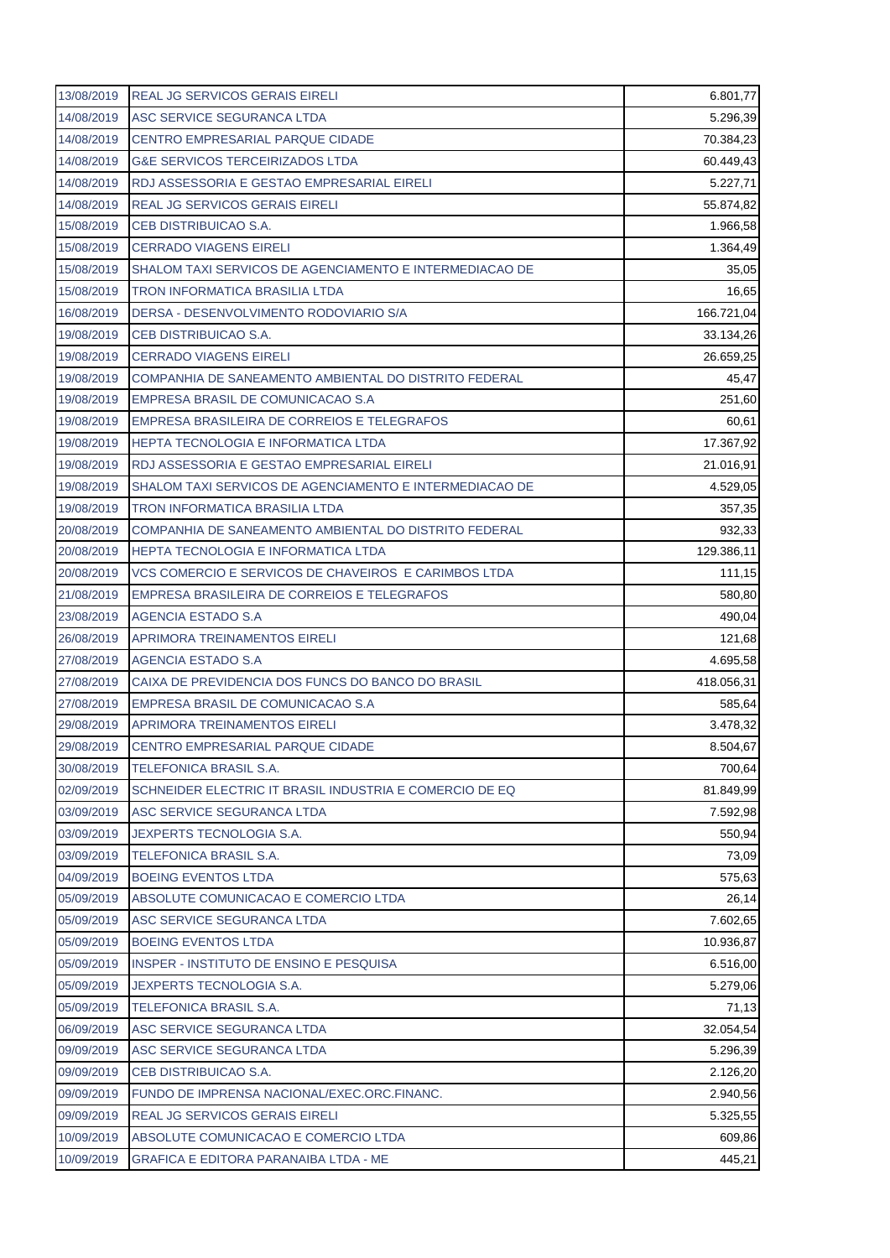| 13/08/2019 | <b>REAL JG SERVICOS GERAIS EIRELI</b>                   | 6.801,77           |
|------------|---------------------------------------------------------|--------------------|
| 14/08/2019 | ASC SERVICE SEGURANCA LTDA                              | 5.296,39           |
| 14/08/2019 | <b>CENTRO EMPRESARIAL PARQUE CIDADE</b>                 | 70.384,23          |
| 14/08/2019 | <b>G&amp;E SERVICOS TERCEIRIZADOS LTDA</b>              | 60.449,43          |
| 14/08/2019 | RDJ ASSESSORIA E GESTAO EMPRESARIAL EIRELI              | 5.227,71           |
| 14/08/2019 | <b>REAL JG SERVICOS GERAIS EIRELI</b>                   | 55.874,82          |
| 15/08/2019 | CEB DISTRIBUICAO S.A.                                   | 1.966,58           |
| 15/08/2019 | <b>CERRADO VIAGENS EIRELI</b>                           | 1.364,49           |
| 15/08/2019 | SHALOM TAXI SERVICOS DE AGENCIAMENTO E INTERMEDIACAO DE | 35,05              |
| 15/08/2019 | <b>TRON INFORMATICA BRASILIA LTDA</b>                   | 16,65              |
| 16/08/2019 | DERSA - DESENVOLVIMENTO RODOVIARIO S/A                  | 166.721,04         |
| 19/08/2019 | CEB DISTRIBUICAO S.A.                                   | 33.134,26          |
| 19/08/2019 | <b>CERRADO VIAGENS EIRELI</b>                           | 26.659,25          |
| 19/08/2019 | COMPANHIA DE SANEAMENTO AMBIENTAL DO DISTRITO FEDERAL   | 45,47              |
| 19/08/2019 | EMPRESA BRASIL DE COMUNICACAO S.A                       | 251,60             |
| 19/08/2019 | EMPRESA BRASILEIRA DE CORREIOS E TELEGRAFOS             | 60,61              |
| 19/08/2019 | <b>HEPTA TECNOLOGIA E INFORMATICA LTDA</b>              | 17.367,92          |
| 19/08/2019 | RDJ ASSESSORIA E GESTAO EMPRESARIAL EIRELI              | 21.016,91          |
| 19/08/2019 | SHALOM TAXI SERVICOS DE AGENCIAMENTO E INTERMEDIACAO DE | 4.529,05           |
| 19/08/2019 | <b>TRON INFORMATICA BRASILIA LTDA</b>                   | 357,35             |
| 20/08/2019 | COMPANHIA DE SANEAMENTO AMBIENTAL DO DISTRITO FEDERAL   | 932,33             |
| 20/08/2019 | <b>HEPTA TECNOLOGIA E INFORMATICA LTDA</b>              | 129.386,11         |
| 20/08/2019 | VCS COMERCIO E SERVICOS DE CHAVEIROS E CARIMBOS LTDA    | 111,15             |
| 21/08/2019 | EMPRESA BRASILEIRA DE CORREIOS E TELEGRAFOS             | 580,80             |
| 23/08/2019 | AGENCIA ESTADO S.A                                      | 490,04             |
|            |                                                         |                    |
| 26/08/2019 | <b>APRIMORA TREINAMENTOS EIRELI</b>                     | 121,68             |
| 27/08/2019 | AGENCIA ESTADO S.A                                      | 4.695,58           |
| 27/08/2019 | CAIXA DE PREVIDENCIA DOS FUNCS DO BANCO DO BRASIL       | 418.056,31         |
| 27/08/2019 | EMPRESA BRASIL DE COMUNICACAO S.A                       | 585,64             |
| 29/08/2019 | <b>APRIMORA TREINAMENTOS EIRELI</b>                     | 3.478,32           |
| 29/08/2019 | CENTRO EMPRESARIAL PARQUE CIDADE                        |                    |
| 30/08/2019 | <b>TELEFONICA BRASIL S.A.</b>                           | 700,64             |
| 02/09/2019 | SCHNEIDER ELECTRIC IT BRASIL INDUSTRIA E COMERCIO DE EQ | 81.849,99          |
| 03/09/2019 | ASC SERVICE SEGURANCA LTDA                              | 7.592,98           |
| 03/09/2019 | JEXPERTS TECNOLOGIA S.A.                                | 8.504,67<br>550,94 |
| 03/09/2019 | <b>TELEFONICA BRASIL S.A.</b>                           | 73,09              |
| 04/09/2019 | <b>BOEING EVENTOS LTDA</b>                              | 575,63             |
| 05/09/2019 | ABSOLUTE COMUNICACAO E COMERCIO LTDA                    | 26,14              |
| 05/09/2019 | ASC SERVICE SEGURANCA LTDA                              | 7.602,65           |
| 05/09/2019 | <b>BOEING EVENTOS LTDA</b>                              | 10.936,87          |
| 05/09/2019 | INSPER - INSTITUTO DE ENSINO E PESQUISA                 | 6.516,00           |
| 05/09/2019 | JEXPERTS TECNOLOGIA S.A.                                | 5.279,06           |
| 05/09/2019 | TELEFONICA BRASIL S.A.                                  | 71,13              |
| 06/09/2019 | ASC SERVICE SEGURANCA LTDA                              | 32.054,54          |
| 09/09/2019 | ASC SERVICE SEGURANCA LTDA                              | 5.296,39           |
| 09/09/2019 | CEB DISTRIBUICAO S.A.                                   | 2.126,20           |
| 09/09/2019 | FUNDO DE IMPRENSA NACIONAL/EXEC.ORC.FINANC.             | 2.940,56           |
| 09/09/2019 | REAL JG SERVICOS GERAIS EIRELI                          | 5.325,55           |
| 10/09/2019 | ABSOLUTE COMUNICACAO E COMERCIO LTDA                    | 609,86             |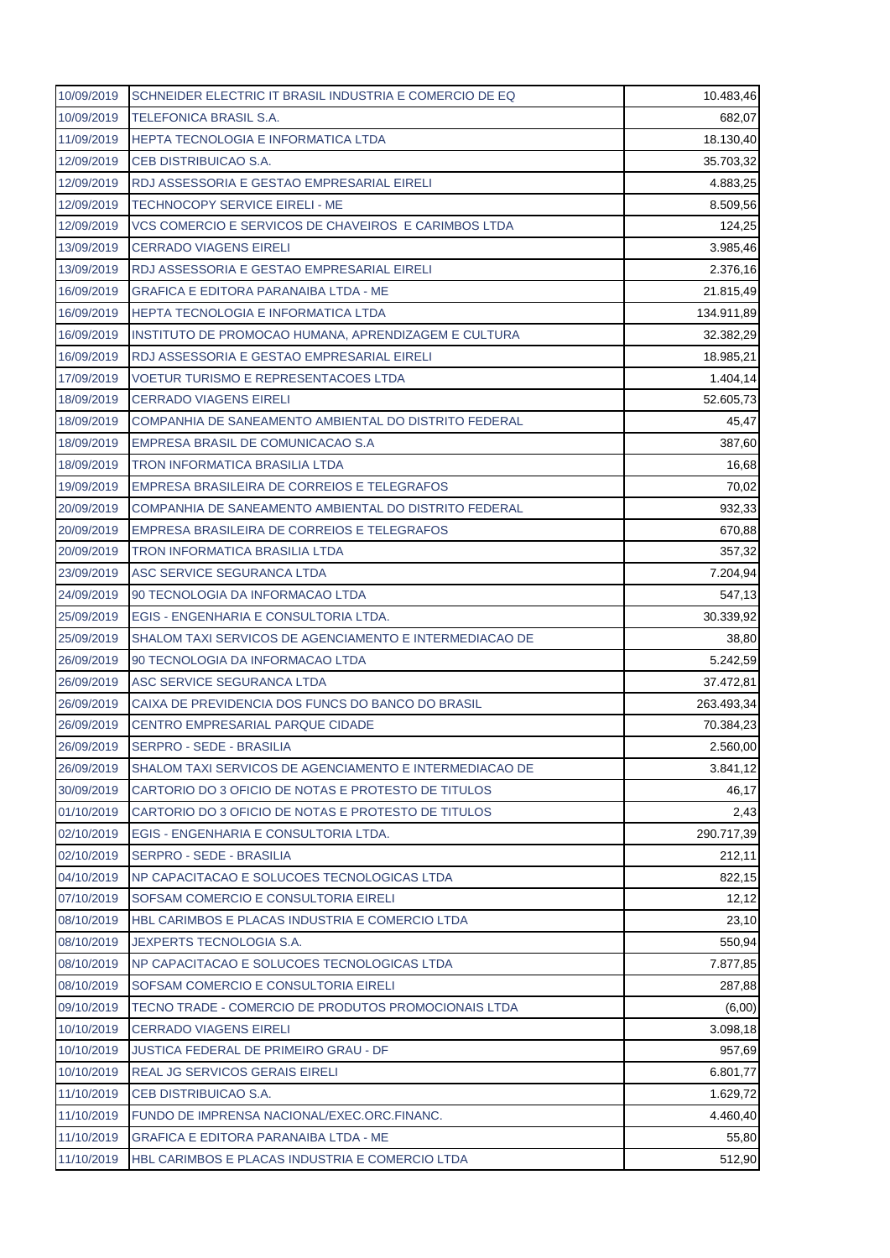| 10/09/2019 | SCHNEIDER ELECTRIC IT BRASIL INDUSTRIA E COMERCIO DE EQ | 10.483,46  |
|------------|---------------------------------------------------------|------------|
| 10/09/2019 | <b>TELEFONICA BRASIL S.A.</b>                           | 682,07     |
| 11/09/2019 | HEPTA TECNOLOGIA E INFORMATICA LTDA                     | 18.130,40  |
| 12/09/2019 | CEB DISTRIBUICAO S.A.                                   | 35.703,32  |
| 12/09/2019 | RDJ ASSESSORIA E GESTAO EMPRESARIAL EIRELI              | 4.883,25   |
| 12/09/2019 | <b>TECHNOCOPY SERVICE EIRELI - ME</b>                   | 8.509,56   |
| 12/09/2019 | VCS COMERCIO E SERVICOS DE CHAVEIROS E CARIMBOS LTDA    | 124,25     |
| 13/09/2019 | <b>CERRADO VIAGENS EIRELI</b>                           | 3.985,46   |
| 13/09/2019 | RDJ ASSESSORIA E GESTAO EMPRESARIAL EIRELI              | 2.376,16   |
| 16/09/2019 | <b>GRAFICA E EDITORA PARANAIBA LTDA - ME</b>            | 21.815,49  |
| 16/09/2019 | HEPTA TECNOLOGIA E INFORMATICA LTDA                     | 134.911,89 |
| 16/09/2019 | INSTITUTO DE PROMOCAO HUMANA, APRENDIZAGEM E CULTURA    | 32.382,29  |
| 16/09/2019 | RDJ ASSESSORIA E GESTAO EMPRESARIAL EIRELI              | 18.985,21  |
| 17/09/2019 | <b>VOETUR TURISMO E REPRESENTACOES LTDA</b>             | 1.404,14   |
| 18/09/2019 | <b>CERRADO VIAGENS EIRELI</b>                           | 52.605,73  |
| 18/09/2019 | COMPANHIA DE SANEAMENTO AMBIENTAL DO DISTRITO FEDERAL   | 45,47      |
| 18/09/2019 | EMPRESA BRASIL DE COMUNICACAO S.A                       | 387,60     |
| 18/09/2019 | <b>TRON INFORMATICA BRASILIA LTDA</b>                   | 16,68      |
| 19/09/2019 | EMPRESA BRASILEIRA DE CORREIOS E TELEGRAFOS             | 70,02      |
| 20/09/2019 | COMPANHIA DE SANEAMENTO AMBIENTAL DO DISTRITO FEDERAL   | 932,33     |
| 20/09/2019 | EMPRESA BRASILEIRA DE CORREIOS E TELEGRAFOS             | 670,88     |
| 20/09/2019 | <b>TRON INFORMATICA BRASILIA LTDA</b>                   | 357,32     |
| 23/09/2019 | ASC SERVICE SEGURANCA LTDA                              | 7.204,94   |
| 24/09/2019 | 90 TECNOLOGIA DA INFORMACAO LTDA                        | 547,13     |
| 25/09/2019 | EGIS - ENGENHARIA E CONSULTORIA LTDA.                   | 30.339,92  |
| 25/09/2019 | SHALOM TAXI SERVICOS DE AGENCIAMENTO E INTERMEDIACAO DE | 38,80      |
| 26/09/2019 | 90 TECNOLOGIA DA INFORMACAO LTDA                        | 5.242,59   |
| 26/09/2019 | ASC SERVICE SEGURANCA LTDA                              | 37.472,81  |
| 26/09/2019 | CAIXA DE PREVIDENCIA DOS FUNCS DO BANCO DO BRASIL       | 263.493,34 |
| 26/09/2019 | CENTRO EMPRESARIAL PARQUE CIDADE                        | 70.384,23  |
| 26/09/2019 | SERPRO - SEDE - BRASILIA                                | 2.560,00   |
| 26/09/2019 | SHALOM TAXI SERVICOS DE AGENCIAMENTO E INTERMEDIACAO DE | 3.841,12   |
| 30/09/2019 | CARTORIO DO 3 OFICIO DE NOTAS E PROTESTO DE TITULOS     | 46,17      |
| 01/10/2019 | CARTORIO DO 3 OFICIO DE NOTAS E PROTESTO DE TITULOS     | 2,43       |
| 02/10/2019 | EGIS - ENGENHARIA E CONSULTORIA LTDA.                   | 290.717,39 |
| 02/10/2019 | <b>SERPRO - SEDE - BRASILIA</b>                         | 212,11     |
| 04/10/2019 | NP CAPACITACAO E SOLUCOES TECNOLOGICAS LTDA             | 822,15     |
|            |                                                         |            |
| 07/10/2019 | SOFSAM COMERCIO E CONSULTORIA EIRELI                    | 12,12      |
| 08/10/2019 | HBL CARIMBOS E PLACAS INDUSTRIA E COMERCIO LTDA         | 23,10      |
| 08/10/2019 | <b>JEXPERTS TECNOLOGIA S.A.</b>                         | 550,94     |
| 08/10/2019 | NP CAPACITACAO E SOLUCOES TECNOLOGICAS LTDA             | 7.877,85   |
| 08/10/2019 | SOFSAM COMERCIO E CONSULTORIA EIRELI                    | 287,88     |
| 09/10/2019 | TECNO TRADE - COMERCIO DE PRODUTOS PROMOCIONAIS LTDA    | (6,00)     |
| 10/10/2019 | <b>CERRADO VIAGENS EIRELI</b>                           | 3.098,18   |
| 10/10/2019 | <b>JUSTICA FEDERAL DE PRIMEIRO GRAU - DF</b>            | 957,69     |
| 10/10/2019 | <b>REAL JG SERVICOS GERAIS EIRELI</b>                   | 6.801,77   |
| 11/10/2019 | CEB DISTRIBUICAO S.A.                                   | 1.629,72   |
| 11/10/2019 | FUNDO DE IMPRENSA NACIONAL/EXEC.ORC.FINANC.             | 4.460,40   |
| 11/10/2019 | <b>GRAFICA E EDITORA PARANAIBA LTDA - ME</b>            | 55,80      |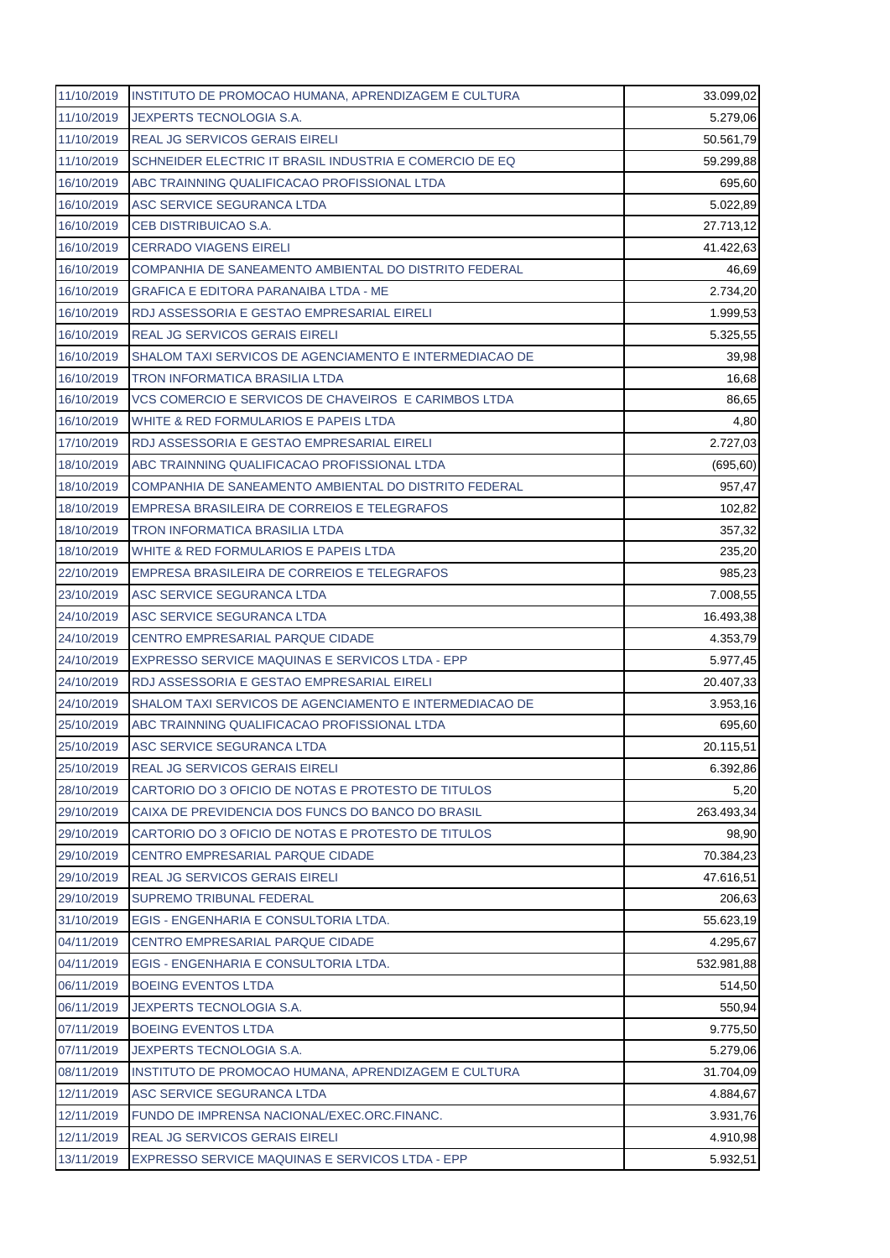| 11/10/2019 | INSTITUTO DE PROMOCAO HUMANA, APRENDIZAGEM E CULTURA    | 33.099,02  |
|------------|---------------------------------------------------------|------------|
| 11/10/2019 | JEXPERTS TECNOLOGIA S.A.                                | 5.279,06   |
| 11/10/2019 | <b>REAL JG SERVICOS GERAIS EIRELI</b>                   | 50.561,79  |
| 11/10/2019 | SCHNEIDER ELECTRIC IT BRASIL INDUSTRIA E COMERCIO DE EQ | 59.299,88  |
| 16/10/2019 | ABC TRAINNING QUALIFICACAO PROFISSIONAL LTDA            | 695,60     |
| 16/10/2019 | ASC SERVICE SEGURANCA LTDA                              | 5.022,89   |
| 16/10/2019 | CEB DISTRIBUICAO S.A.                                   | 27.713,12  |
| 16/10/2019 | <b>CERRADO VIAGENS EIRELI</b>                           | 41.422,63  |
| 16/10/2019 | COMPANHIA DE SANEAMENTO AMBIENTAL DO DISTRITO FEDERAL   | 46,69      |
| 16/10/2019 | <b>GRAFICA E EDITORA PARANAIBA LTDA - ME</b>            | 2.734,20   |
| 16/10/2019 | RDJ ASSESSORIA E GESTAO EMPRESARIAL EIRELI              | 1.999,53   |
| 16/10/2019 | REAL JG SERVICOS GERAIS EIRELI                          | 5.325,55   |
| 16/10/2019 | SHALOM TAXI SERVICOS DE AGENCIAMENTO E INTERMEDIACAO DE | 39,98      |
| 16/10/2019 | <b>TRON INFORMATICA BRASILIA LTDA</b>                   | 16,68      |
| 16/10/2019 | VCS COMERCIO E SERVICOS DE CHAVEIROS E CARIMBOS LTDA    | 86,65      |
| 16/10/2019 | WHITE & RED FORMULARIOS E PAPEIS LTDA                   | 4,80       |
| 17/10/2019 | RDJ ASSESSORIA E GESTAO EMPRESARIAL EIRELI              | 2.727,03   |
| 18/10/2019 | ABC TRAINNING QUALIFICACAO PROFISSIONAL LTDA            | (695, 60)  |
| 18/10/2019 | COMPANHIA DE SANEAMENTO AMBIENTAL DO DISTRITO FEDERAL   | 957,47     |
| 18/10/2019 | EMPRESA BRASILEIRA DE CORREIOS E TELEGRAFOS             | 102,82     |
| 18/10/2019 | TRON INFORMATICA BRASILIA LTDA                          | 357,32     |
| 18/10/2019 | WHITE & RED FORMULARIOS E PAPEIS LTDA                   | 235,20     |
| 22/10/2019 | EMPRESA BRASILEIRA DE CORREIOS E TELEGRAFOS             | 985,23     |
| 23/10/2019 | ASC SERVICE SEGURANCA LTDA                              | 7.008,55   |
| 24/10/2019 | ASC SERVICE SEGURANCA LTDA                              | 16.493,38  |
| 24/10/2019 | CENTRO EMPRESARIAL PARQUE CIDADE                        | 4.353,79   |
| 24/10/2019 | EXPRESSO SERVICE MAQUINAS E SERVICOS LTDA - EPP         | 5.977,45   |
| 24/10/2019 | RDJ ASSESSORIA E GESTAO EMPRESARIAL EIRELI              | 20.407,33  |
| 24/10/2019 | SHALOM TAXI SERVICOS DE AGENCIAMENTO E INTERMEDIACAO DE | 3.953,16   |
| 25/10/2019 | ABC TRAINNING QUALIFICACAO PROFISSIONAL LTDA            | 695,60     |
| 25/10/2019 | ASC SERVICE SEGURANCA LTDA                              | 20.115,51  |
| 25/10/2019 | REAL JG SERVICOS GERAIS EIRELI                          | 6.392,86   |
| 28/10/2019 | CARTORIO DO 3 OFICIO DE NOTAS E PROTESTO DE TITULOS     | 5,20       |
| 29/10/2019 | CAIXA DE PREVIDENCIA DOS FUNCS DO BANCO DO BRASIL       | 263.493,34 |
| 29/10/2019 | CARTORIO DO 3 OFICIO DE NOTAS E PROTESTO DE TITULOS     | 98,90      |
| 29/10/2019 | CENTRO EMPRESARIAL PARQUE CIDADE                        | 70.384,23  |
| 29/10/2019 | REAL JG SERVICOS GERAIS EIRELI                          | 47.616,51  |
| 29/10/2019 | <b>SUPREMO TRIBUNAL FEDERAL</b>                         | 206,63     |
| 31/10/2019 | EGIS - ENGENHARIA E CONSULTORIA LTDA.                   | 55.623,19  |
| 04/11/2019 | CENTRO EMPRESARIAL PARQUE CIDADE                        | 4.295,67   |
| 04/11/2019 | EGIS - ENGENHARIA E CONSULTORIA LTDA.                   | 532.981,88 |
| 06/11/2019 | <b>BOEING EVENTOS LTDA</b>                              | 514,50     |
| 06/11/2019 | JEXPERTS TECNOLOGIA S.A.                                | 550,94     |
| 07/11/2019 | <b>BOEING EVENTOS LTDA</b>                              | 9.775,50   |
| 07/11/2019 | JEXPERTS TECNOLOGIA S.A.                                | 5.279,06   |
| 08/11/2019 | INSTITUTO DE PROMOCAO HUMANA, APRENDIZAGEM E CULTURA    | 31.704,09  |
| 12/11/2019 | ASC SERVICE SEGURANCA LTDA                              | 4.884,67   |
| 12/11/2019 | FUNDO DE IMPRENSA NACIONAL/EXEC.ORC.FINANC.             | 3.931,76   |
| 12/11/2019 | <b>REAL JG SERVICOS GERAIS EIRELI</b>                   | 4.910,98   |
| 13/11/2019 | EXPRESSO SERVICE MAQUINAS E SERVICOS LTDA - EPP         | 5.932,51   |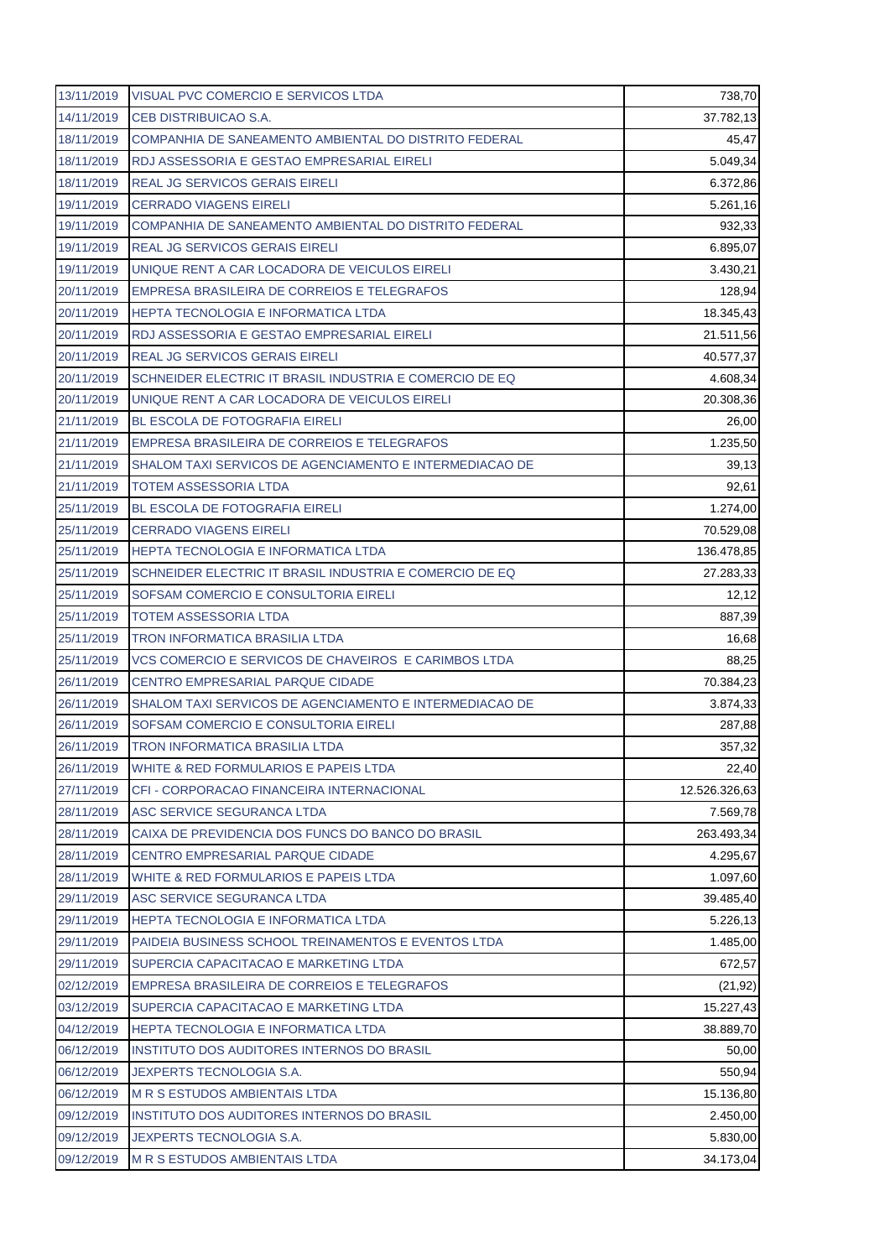| 13/11/2019 | VISUAL PVC COMERCIO E SERVICOS LTDA                     | 738,70        |
|------------|---------------------------------------------------------|---------------|
| 14/11/2019 | CEB DISTRIBUICAO S.A.                                   | 37.782,13     |
| 18/11/2019 | COMPANHIA DE SANEAMENTO AMBIENTAL DO DISTRITO FEDERAL   | 45,47         |
| 18/11/2019 | RDJ ASSESSORIA E GESTAO EMPRESARIAL EIRELI              | 5.049,34      |
| 18/11/2019 | REAL JG SERVICOS GERAIS EIRELI                          | 6.372,86      |
| 19/11/2019 | <b>CERRADO VIAGENS EIRELI</b>                           | 5.261,16      |
| 19/11/2019 | COMPANHIA DE SANEAMENTO AMBIENTAL DO DISTRITO FEDERAL   | 932,33        |
| 19/11/2019 | <b>REAL JG SERVICOS GERAIS EIRELI</b>                   | 6.895,07      |
| 19/11/2019 | UNIQUE RENT A CAR LOCADORA DE VEICULOS EIRELI           | 3.430,21      |
| 20/11/2019 | EMPRESA BRASILEIRA DE CORREIOS E TELEGRAFOS             | 128,94        |
| 20/11/2019 | <b>HEPTA TECNOLOGIA E INFORMATICA LTDA</b>              | 18.345,43     |
| 20/11/2019 | RDJ ASSESSORIA E GESTAO EMPRESARIAL EIRELI              | 21.511,56     |
| 20/11/2019 | <b>REAL JG SERVICOS GERAIS EIRELI</b>                   | 40.577,37     |
| 20/11/2019 | SCHNEIDER ELECTRIC IT BRASIL INDUSTRIA E COMERCIO DE EQ | 4.608,34      |
| 20/11/2019 | UNIQUE RENT A CAR LOCADORA DE VEICULOS EIRELI           | 20.308,36     |
| 21/11/2019 | <b>BL ESCOLA DE FOTOGRAFIA EIRELI</b>                   | 26,00         |
| 21/11/2019 | EMPRESA BRASILEIRA DE CORREIOS E TELEGRAFOS             | 1.235,50      |
| 21/11/2019 | SHALOM TAXI SERVICOS DE AGENCIAMENTO E INTERMEDIACAO DE | 39,13         |
| 21/11/2019 | <b>TOTEM ASSESSORIA LTDA</b>                            | 92,61         |
| 25/11/2019 | BL ESCOLA DE FOTOGRAFIA EIRELI                          | 1.274,00      |
| 25/11/2019 | <b>CERRADO VIAGENS EIRELI</b>                           | 70.529,08     |
| 25/11/2019 | HEPTA TECNOLOGIA E INFORMATICA LTDA                     | 136.478,85    |
| 25/11/2019 | SCHNEIDER ELECTRIC IT BRASIL INDUSTRIA E COMERCIO DE EQ | 27.283,33     |
| 25/11/2019 | SOFSAM COMERCIO E CONSULTORIA EIRELI                    | 12,12         |
| 25/11/2019 | <b>TOTEM ASSESSORIA LTDA</b>                            | 887,39        |
| 25/11/2019 | TRON INFORMATICA BRASILIA LTDA                          | 16,68         |
| 25/11/2019 | VCS COMERCIO E SERVICOS DE CHAVEIROS E CARIMBOS LTDA    | 88,25         |
| 26/11/2019 | <b>CENTRO EMPRESARIAL PARQUE CIDADE</b>                 | 70.384,23     |
| 26/11/2019 | SHALOM TAXI SERVICOS DE AGENCIAMENTO E INTERMEDIACAO DE | 3.874,33      |
| 26/11/2019 | SOFSAM COMERCIO E CONSULTORIA EIRELI                    | 287,88        |
| 26/11/2019 | TRON INFORMATICA BRASILIA LTDA                          | 357,32        |
| 26/11/2019 | WHITE & RED FORMULARIOS E PAPEIS LTDA                   | 22,40         |
| 27/11/2019 | CFI - CORPORACAO FINANCEIRA INTERNACIONAL               | 12.526.326,63 |
| 28/11/2019 | ASC SERVICE SEGURANCA LTDA                              | 7.569,78      |
| 28/11/2019 | CAIXA DE PREVIDENCIA DOS FUNCS DO BANCO DO BRASIL       | 263.493,34    |
| 28/11/2019 | CENTRO EMPRESARIAL PARQUE CIDADE                        | 4.295,67      |
| 28/11/2019 | WHITE & RED FORMULARIOS E PAPEIS LTDA                   | 1.097,60      |
| 29/11/2019 | ASC SERVICE SEGURANCA LTDA                              | 39.485,40     |
| 29/11/2019 | <b>HEPTA TECNOLOGIA E INFORMATICA LTDA</b>              | 5.226,13      |
| 29/11/2019 | PAIDEIA BUSINESS SCHOOL TREINAMENTOS E EVENTOS LTDA     | 1.485,00      |
| 29/11/2019 | SUPERCIA CAPACITACAO E MARKETING LTDA                   | 672,57        |
| 02/12/2019 | EMPRESA BRASILEIRA DE CORREIOS E TELEGRAFOS             | (21, 92)      |
| 03/12/2019 | SUPERCIA CAPACITACAO E MARKETING LTDA                   | 15.227,43     |
| 04/12/2019 | HEPTA TECNOLOGIA E INFORMATICA LTDA                     | 38.889,70     |
| 06/12/2019 | INSTITUTO DOS AUDITORES INTERNOS DO BRASIL              | 50,00         |
| 06/12/2019 | JEXPERTS TECNOLOGIA S.A.                                | 550,94        |
| 06/12/2019 | M R S ESTUDOS AMBIENTAIS LTDA                           | 15.136,80     |
| 09/12/2019 | <b>INSTITUTO DOS AUDITORES INTERNOS DO BRASIL</b>       | 2.450,00      |
| 09/12/2019 | JEXPERTS TECNOLOGIA S.A.                                | 5.830,00      |
| 09/12/2019 | <b>M R S ESTUDOS AMBIENTAIS LTDA</b>                    | 34.173,04     |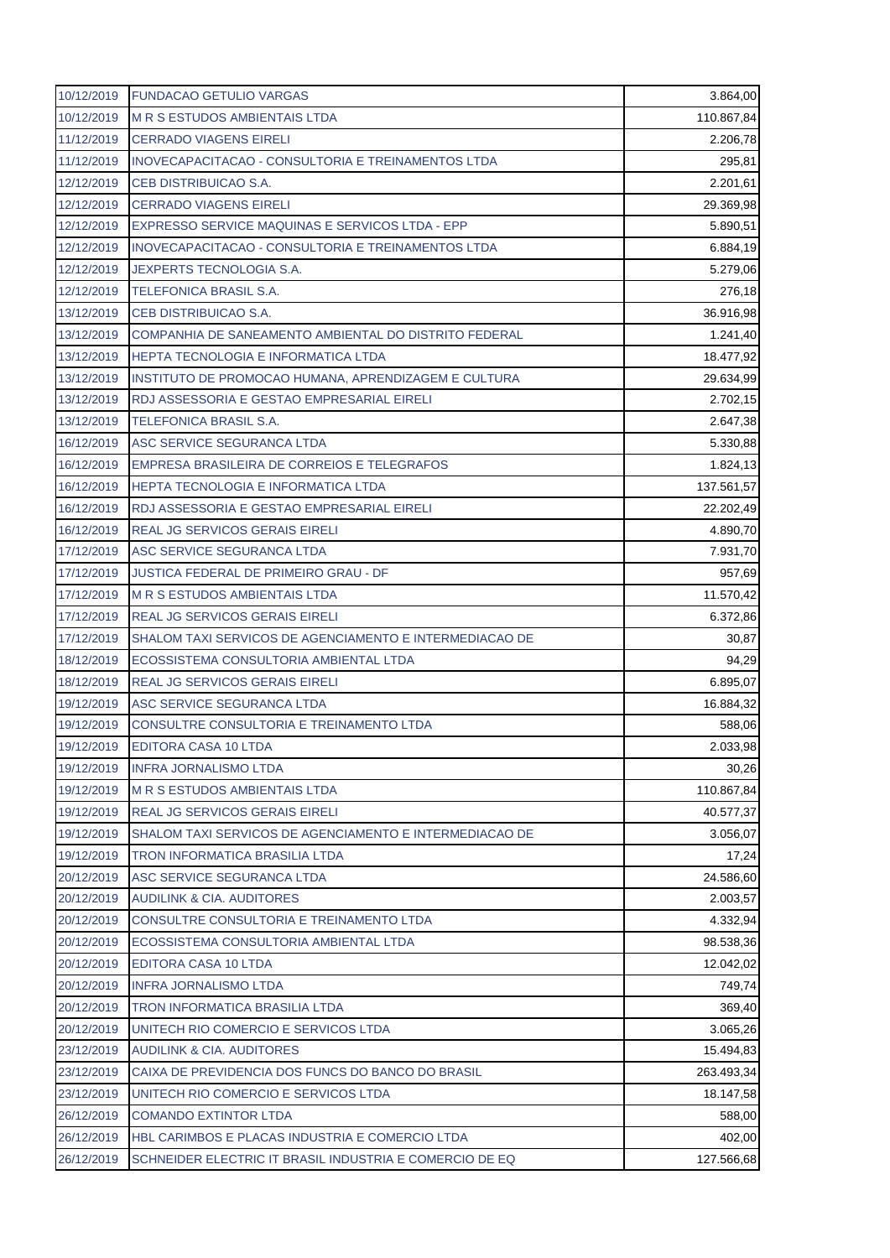| 10/12/2019 | <b>FUNDACAO GETULIO VARGAS</b>                          | 3.864,00   |
|------------|---------------------------------------------------------|------------|
| 10/12/2019 | <b>M R S ESTUDOS AMBIENTAIS LTDA</b>                    | 110.867,84 |
| 11/12/2019 | <b>CERRADO VIAGENS EIRELI</b>                           | 2.206,78   |
| 11/12/2019 | INOVECAPACITACAO - CONSULTORIA E TREINAMENTOS LTDA      | 295,81     |
| 12/12/2019 | CEB DISTRIBUICAO S.A.                                   | 2.201,61   |
| 12/12/2019 | <b>CERRADO VIAGENS EIRELI</b>                           | 29.369,98  |
| 12/12/2019 | EXPRESSO SERVICE MAQUINAS E SERVICOS LTDA - EPP         | 5.890,51   |
| 12/12/2019 | INOVECAPACITACAO - CONSULTORIA E TREINAMENTOS LTDA      | 6.884,19   |
| 12/12/2019 | <b>JEXPERTS TECNOLOGIA S.A.</b>                         | 5.279,06   |
| 12/12/2019 | <b>TELEFONICA BRASIL S.A.</b>                           | 276,18     |
| 13/12/2019 | CEB DISTRIBUICAO S.A.                                   | 36.916,98  |
| 13/12/2019 | COMPANHIA DE SANEAMENTO AMBIENTAL DO DISTRITO FEDERAL   | 1.241,40   |
| 13/12/2019 | <b>HEPTA TECNOLOGIA E INFORMATICA LTDA</b>              | 18.477,92  |
| 13/12/2019 | INSTITUTO DE PROMOCAO HUMANA, APRENDIZAGEM E CULTURA    | 29.634,99  |
| 13/12/2019 | RDJ ASSESSORIA E GESTAO EMPRESARIAL EIRELI              | 2.702,15   |
| 13/12/2019 | <b>TELEFONICA BRASIL S.A.</b>                           | 2.647,38   |
| 16/12/2019 | ASC SERVICE SEGURANCA LTDA                              | 5.330,88   |
| 16/12/2019 | EMPRESA BRASILEIRA DE CORREIOS E TELEGRAFOS             | 1.824,13   |
| 16/12/2019 | <b>HEPTA TECNOLOGIA E INFORMATICA LTDA</b>              | 137.561,57 |
| 16/12/2019 | RDJ ASSESSORIA E GESTAO EMPRESARIAL EIRELI              | 22.202,49  |
| 16/12/2019 | <b>REAL JG SERVICOS GERAIS EIRELI</b>                   | 4.890,70   |
| 17/12/2019 | ASC SERVICE SEGURANCA LTDA                              | 7.931,70   |
| 17/12/2019 | <b>JUSTICA FEDERAL DE PRIMEIRO GRAU - DF</b>            | 957,69     |
| 17/12/2019 | <b>M R S ESTUDOS AMBIENTAIS LTDA</b>                    | 11.570,42  |
| 17/12/2019 | <b>REAL JG SERVICOS GERAIS EIRELI</b>                   | 6.372,86   |
| 17/12/2019 | SHALOM TAXI SERVICOS DE AGENCIAMENTO E INTERMEDIACAO DE | 30,87      |
| 18/12/2019 | ECOSSISTEMA CONSULTORIA AMBIENTAL LTDA                  | 94,29      |
| 18/12/2019 | <b>REAL JG SERVICOS GERAIS EIRELI</b>                   | 6.895,07   |
| 19/12/2019 | ASC SERVICE SEGURANCA LTDA                              | 16.884,32  |
| 19/12/2019 | CONSULTRE CONSULTORIA E TREINAMENTO LTDA                | 588,06     |
| 19/12/2019 | EDITORA CASA 10 LTDA                                    | 2.033,98   |
| 19/12/2019 | <b>INFRA JORNALISMO LTDA</b>                            | 30,26      |
| 19/12/2019 | <b>M R S ESTUDOS AMBIENTAIS LTDA</b>                    | 110.867,84 |
| 19/12/2019 | REAL JG SERVICOS GERAIS EIRELI                          | 40.577,37  |
| 19/12/2019 | SHALOM TAXI SERVICOS DE AGENCIAMENTO E INTERMEDIACAO DE | 3.056,07   |
| 19/12/2019 | TRON INFORMATICA BRASILIA LTDA                          | 17,24      |
| 20/12/2019 | ASC SERVICE SEGURANCA LTDA                              | 24.586,60  |
| 20/12/2019 | <b>AUDILINK &amp; CIA. AUDITORES</b>                    | 2.003,57   |
| 20/12/2019 | CONSULTRE CONSULTORIA E TREINAMENTO LTDA                | 4.332,94   |
| 20/12/2019 | ECOSSISTEMA CONSULTORIA AMBIENTAL LTDA                  | 98.538,36  |
| 20/12/2019 | <b>EDITORA CASA 10 LTDA</b>                             | 12.042,02  |
| 20/12/2019 | <b>INFRA JORNALISMO LTDA</b>                            | 749,74     |
| 20/12/2019 | TRON INFORMATICA BRASILIA LTDA                          | 369,40     |
| 20/12/2019 | UNITECH RIO COMERCIO E SERVICOS LTDA                    | 3.065,26   |
| 23/12/2019 | <b>AUDILINK &amp; CIA. AUDITORES</b>                    | 15.494,83  |
| 23/12/2019 | CAIXA DE PREVIDENCIA DOS FUNCS DO BANCO DO BRASIL       | 263.493,34 |
| 23/12/2019 | UNITECH RIO COMERCIO E SERVICOS LTDA                    | 18.147,58  |
| 26/12/2019 | <b>COMANDO EXTINTOR LTDA</b>                            | 588,00     |
| 26/12/2019 | HBL CARIMBOS E PLACAS INDUSTRIA E COMERCIO LTDA         | 402,00     |
| 26/12/2019 | SCHNEIDER ELECTRIC IT BRASIL INDUSTRIA E COMERCIO DE EQ | 127.566,68 |